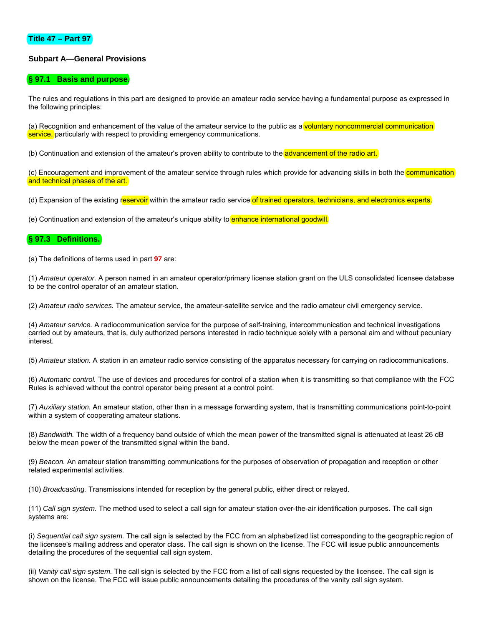# **Subpart A—General Provisions**

# **§ 97.1 Basis and purpose.**

The rules and regulations in this part are designed to provide an amateur radio service having a fundamental purpose as expressed in the following principles:

(a) Recognition and enhancement of the value of the amateur service to the public as a voluntary noncommercial communication service, particularly with respect to providing emergency communications.

(b) Continuation and extension of the amateur's proven ability to contribute to the advancement of the radio art.

(c) Encouragement and improvement of the amateur service through rules which provide for advancing skills in both the communication and technical phases of the art.

(d) Expansion of the existing reservoir within the amateur radio service of trained operators, technicians, and electronics experts.

(e) Continuation and extension of the amateur's unique ability to enhance international goodwill.

# **§ 97.3 Definitions.**

(a) The definitions of terms used in part **97** are:

(1) *Amateur operator.* A person named in an amateur operator/primary license station grant on the ULS consolidated licensee database to be the control operator of an amateur station.

(2) *Amateur radio services.* The amateur service, the amateur-satellite service and the radio amateur civil emergency service.

(4) *Amateur service.* A radiocommunication service for the purpose of self-training, intercommunication and technical investigations carried out by amateurs, that is, duly authorized persons interested in radio technique solely with a personal aim and without pecuniary interest.

(5) *Amateur station.* A station in an amateur radio service consisting of the apparatus necessary for carrying on radiocommunications.

(6) *Automatic control.* The use of devices and procedures for control of a station when it is transmitting so that compliance with the FCC Rules is achieved without the control operator being present at a control point.

(7) *Auxiliary station.* An amateur station, other than in a message forwarding system, that is transmitting communications point-to-point within a system of cooperating amateur stations.

(8) *Bandwidth.* The width of a frequency band outside of which the mean power of the transmitted signal is attenuated at least 26 dB below the mean power of the transmitted signal within the band.

(9) *Beacon.* An amateur station transmitting communications for the purposes of observation of propagation and reception or other related experimental activities.

(10) *Broadcasting.* Transmissions intended for reception by the general public, either direct or relayed.

(11) *Call sign system.* The method used to select a call sign for amateur station over-the-air identification purposes. The call sign systems are:

(i) *Sequential call sign system.* The call sign is selected by the FCC from an alphabetized list corresponding to the geographic region of the licensee's mailing address and operator class. The call sign is shown on the license. The FCC will issue public announcements detailing the procedures of the sequential call sign system.

(ii) *Vanity call sign system.* The call sign is selected by the FCC from a list of call signs requested by the licensee. The call sign is shown on the license. The FCC will issue public announcements detailing the procedures of the vanity call sign system.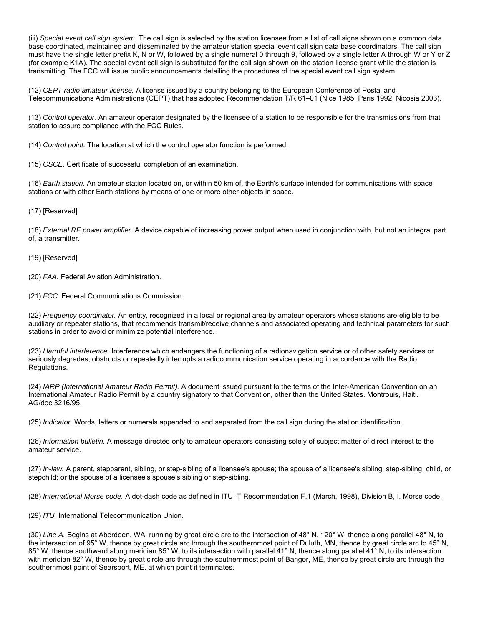(iii) *Special event call sign system.* The call sign is selected by the station licensee from a list of call signs shown on a common data base coordinated, maintained and disseminated by the amateur station special event call sign data base coordinators. The call sign must have the single letter prefix K, N or W, followed by a single numeral 0 through 9, followed by a single letter A through W or Y or Z (for example K1A). The special event call sign is substituted for the call sign shown on the station license grant while the station is transmitting. The FCC will issue public announcements detailing the procedures of the special event call sign system.

(12) *CEPT radio amateur license.* A license issued by a country belonging to the European Conference of Postal and Telecommunications Administrations (CEPT) that has adopted Recommendation T/R 61–01 (Nice 1985, Paris 1992, Nicosia 2003).

(13) *Control operator.* An amateur operator designated by the licensee of a station to be responsible for the transmissions from that station to assure compliance with the FCC Rules.

(14) *Control point.* The location at which the control operator function is performed.

(15) *CSCE.* Certificate of successful completion of an examination.

(16) *Earth station.* An amateur station located on, or within 50 km of, the Earth's surface intended for communications with space stations or with other Earth stations by means of one or more other objects in space.

(17) [Reserved]

(18) *External RF power amplifier.* A device capable of increasing power output when used in conjunction with, but not an integral part of, a transmitter.

(19) [Reserved]

(20) *FAA.* Federal Aviation Administration.

(21) *FCC.* Federal Communications Commission.

(22) *Frequency coordinator.* An entity, recognized in a local or regional area by amateur operators whose stations are eligible to be auxiliary or repeater stations, that recommends transmit/receive channels and associated operating and technical parameters for such stations in order to avoid or minimize potential interference.

(23) *Harmful interference.* Interference which endangers the functioning of a radionavigation service or of other safety services or seriously degrades, obstructs or repeatedly interrupts a radiocommunication service operating in accordance with the Radio Regulations.

(24) *IARP (International Amateur Radio Permit).* A document issued pursuant to the terms of the Inter-American Convention on an International Amateur Radio Permit by a country signatory to that Convention, other than the United States. Montrouis, Haiti. AG/doc.3216/95.

(25) *Indicator.* Words, letters or numerals appended to and separated from the call sign during the station identification.

(26) *Information bulletin.* A message directed only to amateur operators consisting solely of subject matter of direct interest to the amateur service.

(27) *In-law.* A parent, stepparent, sibling, or step-sibling of a licensee's spouse; the spouse of a licensee's sibling, step-sibling, child, or stepchild; or the spouse of a licensee's spouse's sibling or step-sibling.

(28) *International Morse code.* A dot-dash code as defined in ITU–T Recommendation F.1 (March, 1998), Division B, I. Morse code.

(29) *ITU.* International Telecommunication Union.

(30) *Line A.* Begins at Aberdeen, WA, running by great circle arc to the intersection of 48° N, 120° W, thence along parallel 48° N, to the intersection of 95° W, thence by great circle arc through the southernmost point of Duluth, MN, thence by great circle arc to 45° N, 85° W, thence southward along meridian 85° W, to its intersection with parallel 41° N, thence along parallel 41° N, to its intersection with meridian 82° W, thence by great circle arc through the southernmost point of Bangor, ME, thence by great circle arc through the southernmost point of Searsport, ME, at which point it terminates.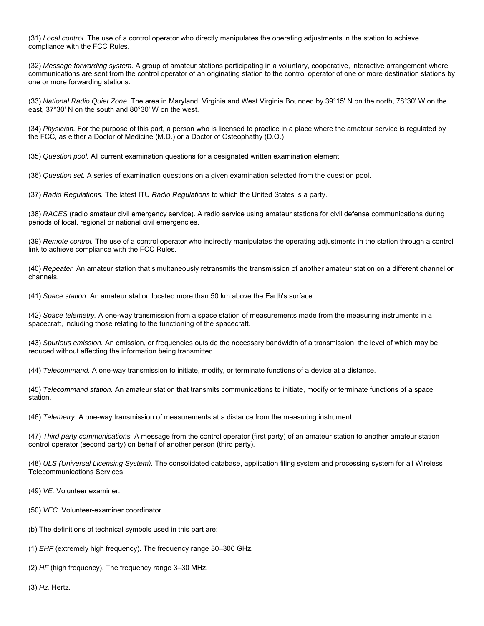(31) *Local control.* The use of a control operator who directly manipulates the operating adjustments in the station to achieve compliance with the FCC Rules.

(32) *Message forwarding system.* A group of amateur stations participating in a voluntary, cooperative, interactive arrangement where communications are sent from the control operator of an originating station to the control operator of one or more destination stations by one or more forwarding stations.

(33) *National Radio Quiet Zone.* The area in Maryland, Virginia and West Virginia Bounded by 39°15' N on the north, 78°30' W on the east, 37°30' N on the south and 80°30' W on the west.

(34) *Physician.* For the purpose of this part, a person who is licensed to practice in a place where the amateur service is regulated by the FCC, as either a Doctor of Medicine (M.D.) or a Doctor of Osteophathy (D.O.)

(35) *Question pool.* All current examination questions for a designated written examination element.

(36) *Question set.* A series of examination questions on a given examination selected from the question pool.

(37) *Radio Regulations.* The latest ITU *Radio Regulations* to which the United States is a party.

(38) *RACES* (radio amateur civil emergency service). A radio service using amateur stations for civil defense communications during periods of local, regional or national civil emergencies.

(39) *Remote control.* The use of a control operator who indirectly manipulates the operating adjustments in the station through a control link to achieve compliance with the FCC Rules.

(40) *Repeater.* An amateur station that simultaneously retransmits the transmission of another amateur station on a different channel or channels.

(41) *Space station.* An amateur station located more than 50 km above the Earth's surface.

(42) *Space telemetry.* A one-way transmission from a space station of measurements made from the measuring instruments in a spacecraft, including those relating to the functioning of the spacecraft.

(43) *Spurious emission.* An emission, or frequencies outside the necessary bandwidth of a transmission, the level of which may be reduced without affecting the information being transmitted.

(44) *Telecommand.* A one-way transmission to initiate, modify, or terminate functions of a device at a distance.

(45) *Telecommand station.* An amateur station that transmits communications to initiate, modify or terminate functions of a space station.

(46) *Telemetry.* A one-way transmission of measurements at a distance from the measuring instrument.

(47) *Third party communications.* A message from the control operator (first party) of an amateur station to another amateur station control operator (second party) on behalf of another person (third party).

(48) *ULS (Universal Licensing System).* The consolidated database, application filing system and processing system for all Wireless Telecommunications Services.

(49) *VE.* Volunteer examiner.

(50) *VEC.* Volunteer-examiner coordinator.

- (b) The definitions of technical symbols used in this part are:
- (1) *EHF* (extremely high frequency). The frequency range 30–300 GHz.

(2) *HF* (high frequency). The frequency range 3–30 MHz.

(3) *Hz.* Hertz.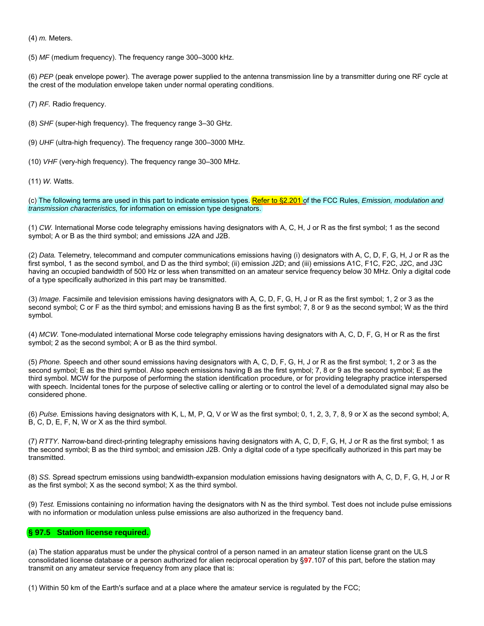(4) *m.* Meters.

(5) *MF* (medium frequency). The frequency range 300–3000 kHz.

(6) *PEP* (peak envelope power). The average power supplied to the antenna transmission line by a transmitter during one RF cycle at the crest of the modulation envelope taken under normal operating conditions.

(7) *RF.* Radio frequency.

(8) *SHF* (super-high frequency). The frequency range 3–30 GHz.

(9) *UHF* (ultra-high frequency). The frequency range 300–3000 MHz.

(10) *VHF* (very-high frequency). The frequency range 30–300 MHz.

(11) *W.* Watts.

(c) The following terms are used in this part to indicate emission types. Refer to §2.201 of the FCC Rules, *Emission, modulation and transmission characteristics,* for information on emission type designators.

(1) *CW.* International Morse code telegraphy emissions having designators with A, C, H, J or R as the first symbol; 1 as the second symbol; A or B as the third symbol; and emissions J2A and J2B.

(2) *Data.* Telemetry, telecommand and computer communications emissions having (i) designators with A, C, D, F, G, H, J or R as the first symbol, 1 as the second symbol, and D as the third symbol; (ii) emission J2D; and (iii) emissions A1C, F1C, F2C, J2C, and J3C having an occupied bandwidth of 500 Hz or less when transmitted on an amateur service frequency below 30 MHz. Only a digital code of a type specifically authorized in this part may be transmitted.

(3) *Image.* Facsimile and television emissions having designators with A, C, D, F, G, H, J or R as the first symbol; 1, 2 or 3 as the second symbol; C or F as the third symbol; and emissions having B as the first symbol; 7, 8 or 9 as the second symbol; W as the third symbol.

(4) *MCW.* Tone-modulated international Morse code telegraphy emissions having designators with A, C, D, F, G, H or R as the first symbol; 2 as the second symbol; A or B as the third symbol.

(5) *Phone.* Speech and other sound emissions having designators with A, C, D, F, G, H, J or R as the first symbol; 1, 2 or 3 as the second symbol; E as the third symbol. Also speech emissions having B as the first symbol; 7, 8 or 9 as the second symbol; E as the third symbol. MCW for the purpose of performing the station identification procedure, or for providing telegraphy practice interspersed with speech. Incidental tones for the purpose of selective calling or alerting or to control the level of a demodulated signal may also be considered phone.

(6) *Pulse.* Emissions having designators with K, L, M, P, Q, V or W as the first symbol; 0, 1, 2, 3, 7, 8, 9 or X as the second symbol; A, B, C, D, E, F, N, W or X as the third symbol.

(7) *RTTY.* Narrow-band direct-printing telegraphy emissions having designators with A, C, D, F, G, H, J or R as the first symbol; 1 as the second symbol; B as the third symbol; and emission J2B. Only a digital code of a type specifically authorized in this part may be transmitted.

(8) *SS.* Spread spectrum emissions using bandwidth-expansion modulation emissions having designators with A, C, D, F, G, H, J or R as the first symbol; X as the second symbol; X as the third symbol.

(9) *Test.* Emissions containing no information having the designators with N as the third symbol. Test does not include pulse emissions with no information or modulation unless pulse emissions are also authorized in the frequency band.

### **§ 97.5 Station license required.**

(a) The station apparatus must be under the physical control of a person named in an amateur station license grant on the ULS consolidated license database or a person authorized for alien reciprocal operation by §**97**.107 of this part, before the station may transmit on any amateur service frequency from any place that is:

(1) Within 50 km of the Earth's surface and at a place where the amateur service is regulated by the FCC;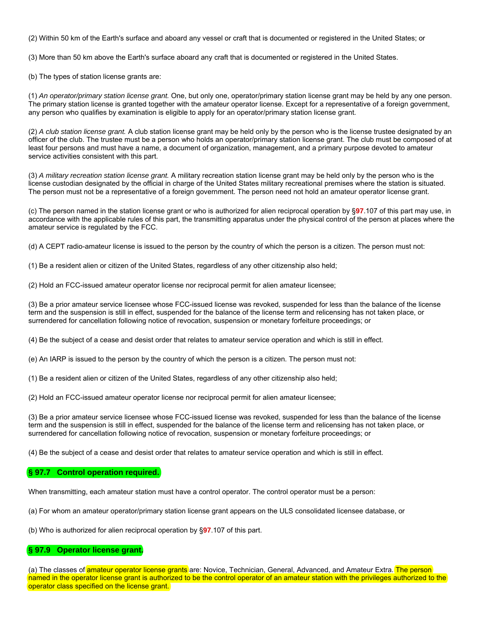(2) Within 50 km of the Earth's surface and aboard any vessel or craft that is documented or registered in the United States; or

(3) More than 50 km above the Earth's surface aboard any craft that is documented or registered in the United States.

(b) The types of station license grants are:

(1) *An operator/primary station license grant.* One, but only one, operator/primary station license grant may be held by any one person. The primary station license is granted together with the amateur operator license. Except for a representative of a foreign government, any person who qualifies by examination is eligible to apply for an operator/primary station license grant.

(2) *A club station license grant.* A club station license grant may be held only by the person who is the license trustee designated by an officer of the club. The trustee must be a person who holds an operator/primary station license grant. The club must be composed of at least four persons and must have a name, a document of organization, management, and a primary purpose devoted to amateur service activities consistent with this part.

(3) *A military recreation station license grant.* A military recreation station license grant may be held only by the person who is the license custodian designated by the official in charge of the United States military recreational premises where the station is situated. The person must not be a representative of a foreign government. The person need not hold an amateur operator license grant.

(c) The person named in the station license grant or who is authorized for alien reciprocal operation by §**97**.107 of this part may use, in accordance with the applicable rules of this part, the transmitting apparatus under the physical control of the person at places where the amateur service is regulated by the FCC.

(d) A CEPT radio-amateur license is issued to the person by the country of which the person is a citizen. The person must not:

(1) Be a resident alien or citizen of the United States, regardless of any other citizenship also held;

(2) Hold an FCC-issued amateur operator license nor reciprocal permit for alien amateur licensee;

(3) Be a prior amateur service licensee whose FCC-issued license was revoked, suspended for less than the balance of the license term and the suspension is still in effect, suspended for the balance of the license term and relicensing has not taken place, or surrendered for cancellation following notice of revocation, suspension or monetary forfeiture proceedings; or

(4) Be the subject of a cease and desist order that relates to amateur service operation and which is still in effect.

(e) An IARP is issued to the person by the country of which the person is a citizen. The person must not:

(1) Be a resident alien or citizen of the United States, regardless of any other citizenship also held;

(2) Hold an FCC-issued amateur operator license nor reciprocal permit for alien amateur licensee;

(3) Be a prior amateur service licensee whose FCC-issued license was revoked, suspended for less than the balance of the license term and the suspension is still in effect, suspended for the balance of the license term and relicensing has not taken place, or surrendered for cancellation following notice of revocation, suspension or monetary forfeiture proceedings; or

(4) Be the subject of a cease and desist order that relates to amateur service operation and which is still in effect.

#### **§ 97.7 Control operation required.**

When transmitting, each amateur station must have a control operator. The control operator must be a person:

(a) For whom an amateur operator/primary station license grant appears on the ULS consolidated licensee database, or

(b) Who is authorized for alien reciprocal operation by §**97**.107 of this part.

### **§ 97.9 Operator license grant.**

(a) The classes of **amateur operator license grants** are: Novice, Technician, General, Advanced, and Amateur Extra. The person named in the operator license grant is authorized to be the control operator of an amateur station with the privileges authorized to the operator class specified on the license grant.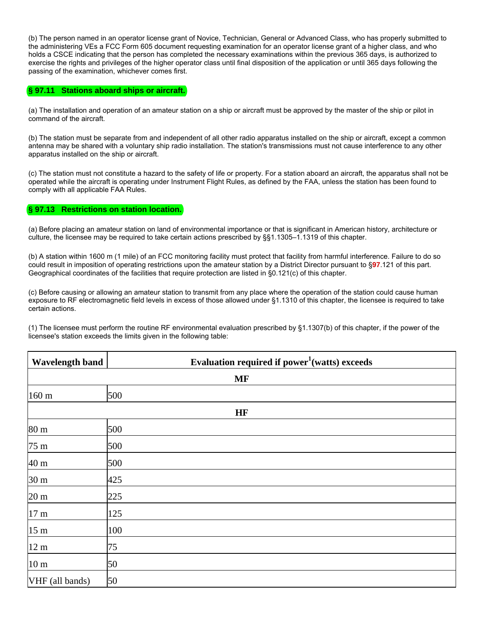(b) The person named in an operator license grant of Novice, Technician, General or Advanced Class, who has properly submitted to the administering VEs a FCC Form 605 document requesting examination for an operator license grant of a higher class, and who holds a CSCE indicating that the person has completed the necessary examinations within the previous 365 days, is authorized to exercise the rights and privileges of the higher operator class until final disposition of the application or until 365 days following the passing of the examination, whichever comes first.

### **§ 97.11 Stations aboard ships or aircraft.**

(a) The installation and operation of an amateur station on a ship or aircraft must be approved by the master of the ship or pilot in command of the aircraft.

(b) The station must be separate from and independent of all other radio apparatus installed on the ship or aircraft, except a common antenna may be shared with a voluntary ship radio installation. The station's transmissions must not cause interference to any other apparatus installed on the ship or aircraft.

(c) The station must not constitute a hazard to the safety of life or property. For a station aboard an aircraft, the apparatus shall not be operated while the aircraft is operating under Instrument Flight Rules, as defined by the FAA, unless the station has been found to comply with all applicable FAA Rules.

### **§ 97.13 Restrictions on station location.**

(a) Before placing an amateur station on land of environmental importance or that is significant in American history, architecture or culture, the licensee may be required to take certain actions prescribed by §§1.1305–1.1319 of this chapter.

(b) A station within 1600 m (1 mile) of an FCC monitoring facility must protect that facility from harmful interference. Failure to do so could result in imposition of operating restrictions upon the amateur station by a District Director pursuant to §**97**.121 of this part. Geographical coordinates of the facilities that require protection are listed in §0.121(c) of this chapter.

(c) Before causing or allowing an amateur station to transmit from any place where the operation of the station could cause human exposure to RF electromagnetic field levels in excess of those allowed under §1.1310 of this chapter, the licensee is required to take certain actions.

(1) The licensee must perform the routine RF environmental evaluation prescribed by §1.1307(b) of this chapter, if the power of the licensee's station exceeds the limits given in the following table:

| <b>Wavelength band</b> | Evaluation required if $power^1(watts)$ exceeds |  |  |  |  |  |  |
|------------------------|-------------------------------------------------|--|--|--|--|--|--|
|                        | <b>MF</b>                                       |  |  |  |  |  |  |
| $160 \text{ m}$        | 500                                             |  |  |  |  |  |  |
|                        | <b>HF</b>                                       |  |  |  |  |  |  |
| 80 m                   | 500                                             |  |  |  |  |  |  |
| 75 m                   | 500                                             |  |  |  |  |  |  |
| 40 <sub>m</sub>        | 500                                             |  |  |  |  |  |  |
| 30 <sub>m</sub>        | 425                                             |  |  |  |  |  |  |
| 20 <sub>m</sub>        | 225                                             |  |  |  |  |  |  |
| 17 <sub>m</sub>        | 125                                             |  |  |  |  |  |  |
| 15 <sub>m</sub>        | 100                                             |  |  |  |  |  |  |
| $12 \text{ m}$         | 75                                              |  |  |  |  |  |  |
| 10 <sub>m</sub>        | 50                                              |  |  |  |  |  |  |
| VHF (all bands)        | 50                                              |  |  |  |  |  |  |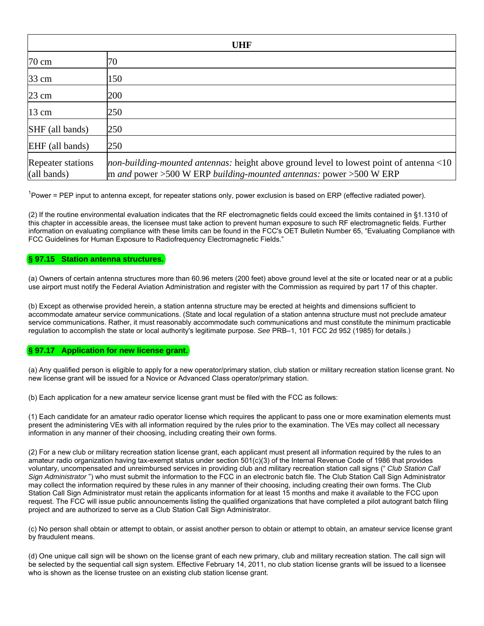| <b>UHF</b>                       |                                                                                                                                                                                     |  |  |  |
|----------------------------------|-------------------------------------------------------------------------------------------------------------------------------------------------------------------------------------|--|--|--|
| 70 cm                            | 70                                                                                                                                                                                  |  |  |  |
| 33 cm                            | 150                                                                                                                                                                                 |  |  |  |
| $23 \text{ cm}$                  | 200                                                                                                                                                                                 |  |  |  |
| $13 \text{ cm}$                  | 250                                                                                                                                                                                 |  |  |  |
| SHF (all bands)                  | 250                                                                                                                                                                                 |  |  |  |
| EHF (all bands)                  | 250                                                                                                                                                                                 |  |  |  |
| Repeater stations<br>(all bands) | non-building-mounted antennas: height above ground level to lowest point of antenna $\langle 10 \mid$<br>$\vert$ m and power >500 W ERP building-mounted antennas: power >500 W ERP |  |  |  |

<sup>1</sup>Power = PEP input to antenna except, for repeater stations only, power exclusion is based on ERP (effective radiated power).

(2) If the routine environmental evaluation indicates that the RF electromagnetic fields could exceed the limits contained in §1.1310 of this chapter in accessible areas, the licensee must take action to prevent human exposure to such RF electromagnetic fields. Further information on evaluating compliance with these limits can be found in the FCC's OET Bulletin Number 65, "Evaluating Compliance with FCC Guidelines for Human Exposure to Radiofrequency Electromagnetic Fields."

### **§ 97.15 Station antenna structures.**

(a) Owners of certain antenna structures more than 60.96 meters (200 feet) above ground level at the site or located near or at a public use airport must notify the Federal Aviation Administration and register with the Commission as required by part 17 of this chapter.

(b) Except as otherwise provided herein, a station antenna structure may be erected at heights and dimensions sufficient to accommodate amateur service communications. (State and local regulation of a station antenna structure must not preclude amateur service communications. Rather, it must reasonably accommodate such communications and must constitute the minimum practicable regulation to accomplish the state or local authority's legitimate purpose. *See* PRB–1, 101 FCC 2d 952 (1985) for details.)

# **§ 97.17 Application for new license grant.**

(a) Any qualified person is eligible to apply for a new operator/primary station, club station or military recreation station license grant. No new license grant will be issued for a Novice or Advanced Class operator/primary station.

(b) Each application for a new amateur service license grant must be filed with the FCC as follows:

(1) Each candidate for an amateur radio operator license which requires the applicant to pass one or more examination elements must present the administering VEs with all information required by the rules prior to the examination. The VEs may collect all necessary information in any manner of their choosing, including creating their own forms.

(2) For a new club or military recreation station license grant, each applicant must present all information required by the rules to an amateur radio organization having tax-exempt status under section 501(c)(3) of the Internal Revenue Code of 1986 that provides voluntary, uncompensated and unreimbursed services in providing club and military recreation station call signs (" *Club Station Call Sign Administrator* ") who must submit the information to the FCC in an electronic batch file. The Club Station Call Sign Administrator may collect the information required by these rules in any manner of their choosing, including creating their own forms. The Club Station Call Sign Administrator must retain the applicants information for at least 15 months and make it available to the FCC upon request. The FCC will issue public announcements listing the qualified organizations that have completed a pilot autogrant batch filing project and are authorized to serve as a Club Station Call Sign Administrator.

(c) No person shall obtain or attempt to obtain, or assist another person to obtain or attempt to obtain, an amateur service license grant by fraudulent means.

(d) One unique call sign will be shown on the license grant of each new primary, club and military recreation station. The call sign will be selected by the sequential call sign system. Effective February 14, 2011, no club station license grants will be issued to a licensee who is shown as the license trustee on an existing club station license grant.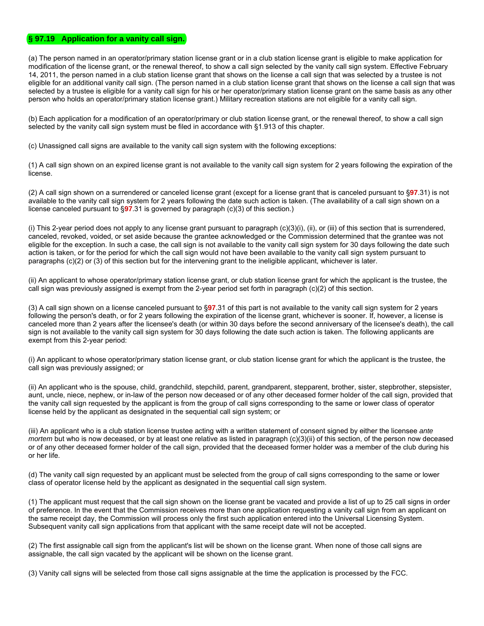# **§ 97.19 Application for a vanity call sign.**

(a) The person named in an operator/primary station license grant or in a club station license grant is eligible to make application for modification of the license grant, or the renewal thereof, to show a call sign selected by the vanity call sign system. Effective February 14, 2011, the person named in a club station license grant that shows on the license a call sign that was selected by a trustee is not eligible for an additional vanity call sign. (The person named in a club station license grant that shows on the license a call sign that was selected by a trustee is eligible for a vanity call sign for his or her operator/primary station license grant on the same basis as any other person who holds an operator/primary station license grant.) Military recreation stations are not eligible for a vanity call sign.

(b) Each application for a modification of an operator/primary or club station license grant, or the renewal thereof, to show a call sign selected by the vanity call sign system must be filed in accordance with §1.913 of this chapter.

(c) Unassigned call signs are available to the vanity call sign system with the following exceptions:

(1) A call sign shown on an expired license grant is not available to the vanity call sign system for 2 years following the expiration of the license.

(2) A call sign shown on a surrendered or canceled license grant (except for a license grant that is canceled pursuant to §**97**.31) is not available to the vanity call sign system for 2 years following the date such action is taken. (The availability of a call sign shown on a license canceled pursuant to §**97**.31 is governed by paragraph (c)(3) of this section.)

(i) This 2-year period does not apply to any license grant pursuant to paragraph (c)(3)(i), (ii), or (iii) of this section that is surrendered, canceled, revoked, voided, or set aside because the grantee acknowledged or the Commission determined that the grantee was not eligible for the exception. In such a case, the call sign is not available to the vanity call sign system for 30 days following the date such action is taken, or for the period for which the call sign would not have been available to the vanity call sign system pursuant to paragraphs (c)(2) or (3) of this section but for the intervening grant to the ineligible applicant, whichever is later.

(ii) An applicant to whose operator/primary station license grant, or club station license grant for which the applicant is the trustee, the call sign was previously assigned is exempt from the 2-year period set forth in paragraph (c)(2) of this section.

(3) A call sign shown on a license canceled pursuant to §**97**.31 of this part is not available to the vanity call sign system for 2 years following the person's death, or for 2 years following the expiration of the license grant, whichever is sooner. If, however, a license is canceled more than 2 years after the licensee's death (or within 30 days before the second anniversary of the licensee's death), the call sign is not available to the vanity call sign system for 30 days following the date such action is taken. The following applicants are exempt from this 2-year period:

(i) An applicant to whose operator/primary station license grant, or club station license grant for which the applicant is the trustee, the call sign was previously assigned; or

(ii) An applicant who is the spouse, child, grandchild, stepchild, parent, grandparent, stepparent, brother, sister, stepbrother, stepsister, aunt, uncle, niece, nephew, or in-law of the person now deceased or of any other deceased former holder of the call sign, provided that the vanity call sign requested by the applicant is from the group of call signs corresponding to the same or lower class of operator license held by the applicant as designated in the sequential call sign system; or

(iii) An applicant who is a club station license trustee acting with a written statement of consent signed by either the licensee *ante mortem* but who is now deceased, or by at least one relative as listed in paragraph (c)(3)(ii) of this section, of the person now deceased or of any other deceased former holder of the call sign, provided that the deceased former holder was a member of the club during his or her life.

(d) The vanity call sign requested by an applicant must be selected from the group of call signs corresponding to the same or lower class of operator license held by the applicant as designated in the sequential call sign system.

(1) The applicant must request that the call sign shown on the license grant be vacated and provide a list of up to 25 call signs in order of preference. In the event that the Commission receives more than one application requesting a vanity call sign from an applicant on the same receipt day, the Commission will process only the first such application entered into the Universal Licensing System. Subsequent vanity call sign applications from that applicant with the same receipt date will not be accepted.

(2) The first assignable call sign from the applicant's list will be shown on the license grant. When none of those call signs are assignable, the call sign vacated by the applicant will be shown on the license grant.

(3) Vanity call signs will be selected from those call signs assignable at the time the application is processed by the FCC.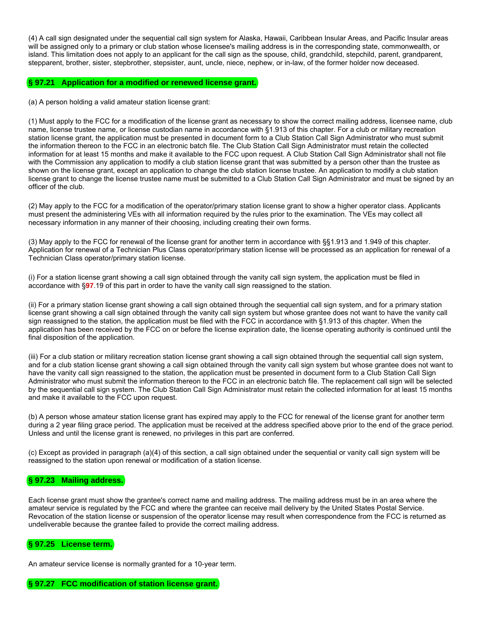(4) A call sign designated under the sequential call sign system for Alaska, Hawaii, Caribbean Insular Areas, and Pacific Insular areas will be assigned only to a primary or club station whose licensee's mailing address is in the corresponding state, commonwealth, or island. This limitation does not apply to an applicant for the call sign as the spouse, child, grandchild, stepchild, parent, grandparent, stepparent, brother, sister, stepbrother, stepsister, aunt, uncle, niece, nephew, or in-law, of the former holder now deceased.

### **§ 97.21 Application for a modified or renewed license grant.**

(a) A person holding a valid amateur station license grant:

(1) Must apply to the FCC for a modification of the license grant as necessary to show the correct mailing address, licensee name, club name, license trustee name, or license custodian name in accordance with §1.913 of this chapter. For a club or military recreation station license grant, the application must be presented in document form to a Club Station Call Sign Administrator who must submit the information thereon to the FCC in an electronic batch file. The Club Station Call Sign Administrator must retain the collected information for at least 15 months and make it available to the FCC upon request. A Club Station Call Sign Administrator shall not file with the Commission any application to modify a club station license grant that was submitted by a person other than the trustee as shown on the license grant, except an application to change the club station license trustee. An application to modify a club station license grant to change the license trustee name must be submitted to a Club Station Call Sign Administrator and must be signed by an officer of the club.

(2) May apply to the FCC for a modification of the operator/primary station license grant to show a higher operator class. Applicants must present the administering VEs with all information required by the rules prior to the examination. The VEs may collect all necessary information in any manner of their choosing, including creating their own forms.

(3) May apply to the FCC for renewal of the license grant for another term in accordance with §§1.913 and 1.949 of this chapter. Application for renewal of a Technician Plus Class operator/primary station license will be processed as an application for renewal of a Technician Class operator/primary station license.

(i) For a station license grant showing a call sign obtained through the vanity call sign system, the application must be filed in accordance with §**97**.19 of this part in order to have the vanity call sign reassigned to the station.

(ii) For a primary station license grant showing a call sign obtained through the sequential call sign system, and for a primary station license grant showing a call sign obtained through the vanity call sign system but whose grantee does not want to have the vanity call sign reassigned to the station, the application must be filed with the FCC in accordance with §1.913 of this chapter. When the application has been received by the FCC on or before the license expiration date, the license operating authority is continued until the final disposition of the application.

(iii) For a club station or military recreation station license grant showing a call sign obtained through the sequential call sign system, and for a club station license grant showing a call sign obtained through the vanity call sign system but whose grantee does not want to have the vanity call sign reassigned to the station, the application must be presented in document form to a Club Station Call Sign Administrator who must submit the information thereon to the FCC in an electronic batch file. The replacement call sign will be selected by the sequential call sign system. The Club Station Call Sign Administrator must retain the collected information for at least 15 months and make it available to the FCC upon request.

(b) A person whose amateur station license grant has expired may apply to the FCC for renewal of the license grant for another term during a 2 year filing grace period. The application must be received at the address specified above prior to the end of the grace period. Unless and until the license grant is renewed, no privileges in this part are conferred.

(c) Except as provided in paragraph (a)(4) of this section, a call sign obtained under the sequential or vanity call sign system will be reassigned to the station upon renewal or modification of a station license.

### **§ 97.23 Mailing address.**

Each license grant must show the grantee's correct name and mailing address. The mailing address must be in an area where the amateur service is regulated by the FCC and where the grantee can receive mail delivery by the United States Postal Service. Revocation of the station license or suspension of the operator license may result when correspondence from the FCC is returned as undeliverable because the grantee failed to provide the correct mailing address.

### **§ 97.25 License term.**

An amateur service license is normally granted for a 10-year term.

#### **§ 97.27 FCC modification of station license grant.**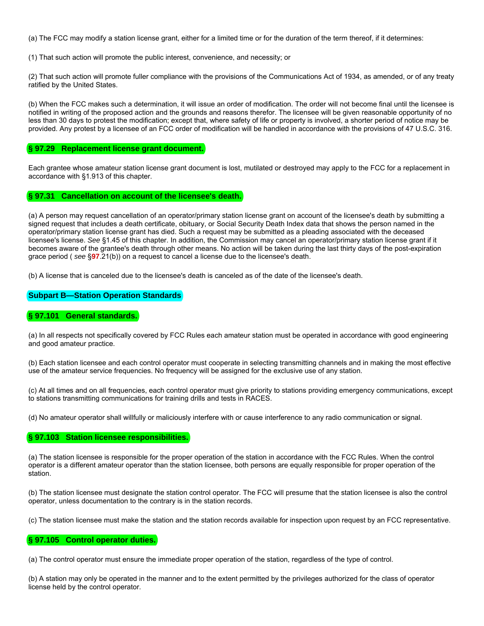(a) The FCC may modify a station license grant, either for a limited time or for the duration of the term thereof, if it determines:

(1) That such action will promote the public interest, convenience, and necessity; or

(2) That such action will promote fuller compliance with the provisions of the Communications Act of 1934, as amended, or of any treaty ratified by the United States.

(b) When the FCC makes such a determination, it will issue an order of modification. The order will not become final until the licensee is notified in writing of the proposed action and the grounds and reasons therefor. The licensee will be given reasonable opportunity of no less than 30 days to protest the modification; except that, where safety of life or property is involved, a shorter period of notice may be provided. Any protest by a licensee of an FCC order of modification will be handled in accordance with the provisions of 47 U.S.C. 316.

#### **§ 97.29 Replacement license grant document.**

Each grantee whose amateur station license grant document is lost, mutilated or destroyed may apply to the FCC for a replacement in accordance with §1.913 of this chapter.

#### **§ 97.31 Cancellation on account of the licensee's death.**

(a) A person may request cancellation of an operator/primary station license grant on account of the licensee's death by submitting a signed request that includes a death certificate, obituary, or Social Security Death Index data that shows the person named in the operator/primary station license grant has died. Such a request may be submitted as a pleading associated with the deceased licensee's license. *See* §1.45 of this chapter. In addition, the Commission may cancel an operator/primary station license grant if it becomes aware of the grantee's death through other means. No action will be taken during the last thirty days of the post-expiration grace period ( *see* §**97**.21(b)) on a request to cancel a license due to the licensee's death.

(b) A license that is canceled due to the licensee's death is canceled as of the date of the licensee's death.

# **Subpart B—Station Operation Standards**

#### **§ 97.101 General standards.**

(a) In all respects not specifically covered by FCC Rules each amateur station must be operated in accordance with good engineering and good amateur practice.

(b) Each station licensee and each control operator must cooperate in selecting transmitting channels and in making the most effective use of the amateur service frequencies. No frequency will be assigned for the exclusive use of any station.

(c) At all times and on all frequencies, each control operator must give priority to stations providing emergency communications, except to stations transmitting communications for training drills and tests in RACES.

(d) No amateur operator shall willfully or maliciously interfere with or cause interference to any radio communication or signal.

#### **§ 97.103 Station licensee responsibilities.**

(a) The station licensee is responsible for the proper operation of the station in accordance with the FCC Rules. When the control operator is a different amateur operator than the station licensee, both persons are equally responsible for proper operation of the station.

(b) The station licensee must designate the station control operator. The FCC will presume that the station licensee is also the control operator, unless documentation to the contrary is in the station records.

(c) The station licensee must make the station and the station records available for inspection upon request by an FCC representative.

#### **§ 97.105 Control operator duties.**

(a) The control operator must ensure the immediate proper operation of the station, regardless of the type of control.

(b) A station may only be operated in the manner and to the extent permitted by the privileges authorized for the class of operator license held by the control operator.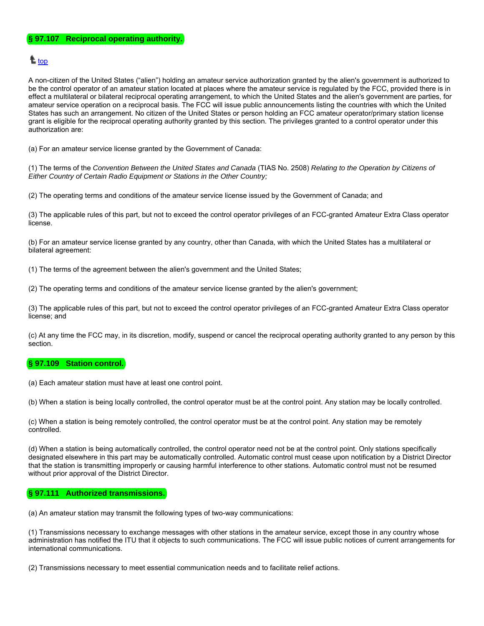# t<sub>top</sub>

A non-citizen of the United States ("alien") holding an amateur service authorization granted by the alien's government is authorized to be the control operator of an amateur station located at places where the amateur service is regulated by the FCC, provided there is in effect a multilateral or bilateral reciprocal operating arrangement, to which the United States and the alien's government are parties, for amateur service operation on a reciprocal basis. The FCC will issue public announcements listing the countries with which the United States has such an arrangement. No citizen of the United States or person holding an FCC amateur operator/primary station license grant is eligible for the reciprocal operating authority granted by this section. The privileges granted to a control operator under this authorization are:

(a) For an amateur service license granted by the Government of Canada:

(1) The terms of the *Convention Between the United States and Canada* (TIAS No. 2508) *Relating to the Operation by Citizens of Either Country of Certain Radio Equipment or Stations in the Other Country;* 

(2) The operating terms and conditions of the amateur service license issued by the Government of Canada; and

(3) The applicable rules of this part, but not to exceed the control operator privileges of an FCC-granted Amateur Extra Class operator license.

(b) For an amateur service license granted by any country, other than Canada, with which the United States has a multilateral or bilateral agreement:

(1) The terms of the agreement between the alien's government and the United States;

(2) The operating terms and conditions of the amateur service license granted by the alien's government;

(3) The applicable rules of this part, but not to exceed the control operator privileges of an FCC-granted Amateur Extra Class operator license; and

(c) At any time the FCC may, in its discretion, modify, suspend or cancel the reciprocal operating authority granted to any person by this section.

### **§ 97.109 Station control.**

(a) Each amateur station must have at least one control point.

(b) When a station is being locally controlled, the control operator must be at the control point. Any station may be locally controlled.

(c) When a station is being remotely controlled, the control operator must be at the control point. Any station may be remotely controlled.

(d) When a station is being automatically controlled, the control operator need not be at the control point. Only stations specifically designated elsewhere in this part may be automatically controlled. Automatic control must cease upon notification by a District Director that the station is transmitting improperly or causing harmful interference to other stations. Automatic control must not be resumed without prior approval of the District Director.

#### **§ 97.111 Authorized transmissions.**

(a) An amateur station may transmit the following types of two-way communications:

(1) Transmissions necessary to exchange messages with other stations in the amateur service, except those in any country whose administration has notified the ITU that it objects to such communications. The FCC will issue public notices of current arrangements for international communications.

(2) Transmissions necessary to meet essential communication needs and to facilitate relief actions.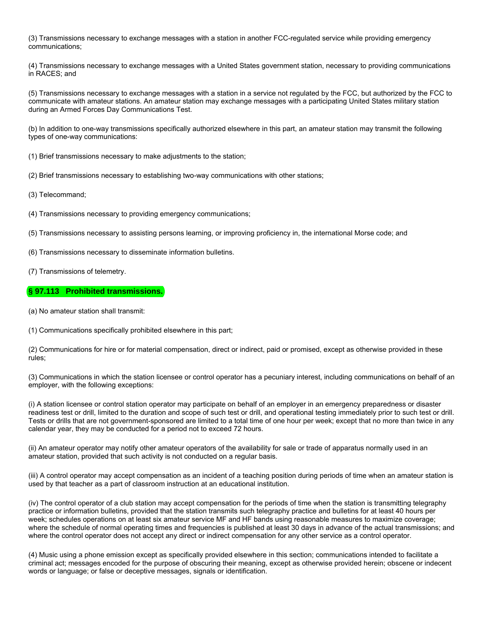(3) Transmissions necessary to exchange messages with a station in another FCC-regulated service while providing emergency communications;

(4) Transmissions necessary to exchange messages with a United States government station, necessary to providing communications in RACES; and

(5) Transmissions necessary to exchange messages with a station in a service not regulated by the FCC, but authorized by the FCC to communicate with amateur stations. An amateur station may exchange messages with a participating United States military station during an Armed Forces Day Communications Test.

(b) In addition to one-way transmissions specifically authorized elsewhere in this part, an amateur station may transmit the following types of one-way communications:

(1) Brief transmissions necessary to make adjustments to the station;

(2) Brief transmissions necessary to establishing two-way communications with other stations;

(3) Telecommand;

(4) Transmissions necessary to providing emergency communications;

(5) Transmissions necessary to assisting persons learning, or improving proficiency in, the international Morse code; and

(6) Transmissions necessary to disseminate information bulletins.

(7) Transmissions of telemetry.

# **§ 97.113 Prohibited transmissions.**

(a) No amateur station shall transmit:

(1) Communications specifically prohibited elsewhere in this part;

(2) Communications for hire or for material compensation, direct or indirect, paid or promised, except as otherwise provided in these rules;

(3) Communications in which the station licensee or control operator has a pecuniary interest, including communications on behalf of an employer, with the following exceptions:

(i) A station licensee or control station operator may participate on behalf of an employer in an emergency preparedness or disaster readiness test or drill, limited to the duration and scope of such test or drill, and operational testing immediately prior to such test or drill. Tests or drills that are not government-sponsored are limited to a total time of one hour per week; except that no more than twice in any calendar year, they may be conducted for a period not to exceed 72 hours.

(ii) An amateur operator may notify other amateur operators of the availability for sale or trade of apparatus normally used in an amateur station, provided that such activity is not conducted on a regular basis.

(iii) A control operator may accept compensation as an incident of a teaching position during periods of time when an amateur station is used by that teacher as a part of classroom instruction at an educational institution.

(iv) The control operator of a club station may accept compensation for the periods of time when the station is transmitting telegraphy practice or information bulletins, provided that the station transmits such telegraphy practice and bulletins for at least 40 hours per week; schedules operations on at least six amateur service MF and HF bands using reasonable measures to maximize coverage; where the schedule of normal operating times and frequencies is published at least 30 days in advance of the actual transmissions; and where the control operator does not accept any direct or indirect compensation for any other service as a control operator.

(4) Music using a phone emission except as specifically provided elsewhere in this section; communications intended to facilitate a criminal act; messages encoded for the purpose of obscuring their meaning, except as otherwise provided herein; obscene or indecent words or language; or false or deceptive messages, signals or identification.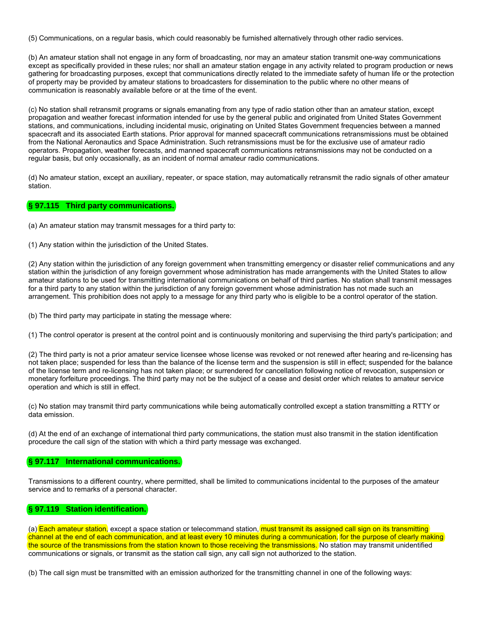(5) Communications, on a regular basis, which could reasonably be furnished alternatively through other radio services.

(b) An amateur station shall not engage in any form of broadcasting, nor may an amateur station transmit one-way communications except as specifically provided in these rules; nor shall an amateur station engage in any activity related to program production or news gathering for broadcasting purposes, except that communications directly related to the immediate safety of human life or the protection of property may be provided by amateur stations to broadcasters for dissemination to the public where no other means of communication is reasonably available before or at the time of the event.

(c) No station shall retransmit programs or signals emanating from any type of radio station other than an amateur station, except propagation and weather forecast information intended for use by the general public and originated from United States Government stations, and communications, including incidental music, originating on United States Government frequencies between a manned spacecraft and its associated Earth stations. Prior approval for manned spacecraft communications retransmissions must be obtained from the National Aeronautics and Space Administration. Such retransmissions must be for the exclusive use of amateur radio operators. Propagation, weather forecasts, and manned spacecraft communications retransmissions may not be conducted on a regular basis, but only occasionally, as an incident of normal amateur radio communications.

(d) No amateur station, except an auxiliary, repeater, or space station, may automatically retransmit the radio signals of other amateur station.

### **§ 97.115 Third party communications.**

(a) An amateur station may transmit messages for a third party to:

(1) Any station within the jurisdiction of the United States.

(2) Any station within the jurisdiction of any foreign government when transmitting emergency or disaster relief communications and any station within the jurisdiction of any foreign government whose administration has made arrangements with the United States to allow amateur stations to be used for transmitting international communications on behalf of third parties. No station shall transmit messages for a third party to any station within the jurisdiction of any foreign government whose administration has not made such an arrangement. This prohibition does not apply to a message for any third party who is eligible to be a control operator of the station.

(b) The third party may participate in stating the message where:

(1) The control operator is present at the control point and is continuously monitoring and supervising the third party's participation; and

(2) The third party is not a prior amateur service licensee whose license was revoked or not renewed after hearing and re-licensing has not taken place; suspended for less than the balance of the license term and the suspension is still in effect; suspended for the balance of the license term and re-licensing has not taken place; or surrendered for cancellation following notice of revocation, suspension or monetary forfeiture proceedings. The third party may not be the subject of a cease and desist order which relates to amateur service operation and which is still in effect.

(c) No station may transmit third party communications while being automatically controlled except a station transmitting a RTTY or data emission.

(d) At the end of an exchange of international third party communications, the station must also transmit in the station identification procedure the call sign of the station with which a third party message was exchanged.

# **§ 97.117 International communications.**

Transmissions to a different country, where permitted, shall be limited to communications incidental to the purposes of the amateur service and to remarks of a personal character.

# **§ 97.119 Station identification.**

(a) Each amateur station, except a space station or telecommand station, must transmit its assigned call sign on its transmitting channel at the end of each communication, and at least every 10 minutes during a communication, for the purpose of clearly making the source of the transmissions from the station known to those receiving the transmissions. No station may transmit unidentified communications or signals, or transmit as the station call sign, any call sign not authorized to the station.

(b) The call sign must be transmitted with an emission authorized for the transmitting channel in one of the following ways: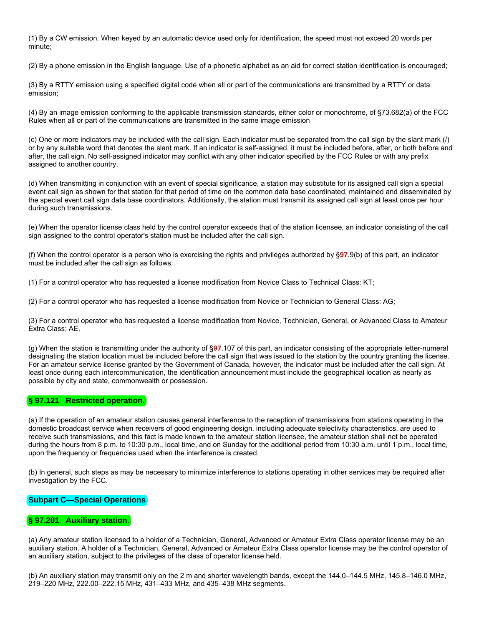(1) By a CW emission. When keyed by an automatic device used only for identification, the speed must not exceed 20 words per minute;

(2) By a phone emission in the English language. Use of a phonetic alphabet as an aid for correct station identification is encouraged;

(3) By a RTTY emission using a specified digital code when all or part of the communications are transmitted by a RTTY or data emission;

(4) By an image emission conforming to the applicable transmission standards, either color or monochrome, of §73.682(a) of the FCC Rules when all or part of the communications are transmitted in the same image emission

(c) One or more indicators may be included with the call sign. Each indicator must be separated from the call sign by the slant mark (/) or by any suitable word that denotes the slant mark. If an indicator is self-assigned, it must be included before, after, or both before and after, the call sign. No self-assigned indicator may conflict with any other indicator specified by the FCC Rules or with any prefix assigned to another country.

(d) When transmitting in conjunction with an event of special significance, a station may substitute for its assigned call sign a special event call sign as shown for that station for that period of time on the common data base coordinated, maintained and disseminated by the special event call sign data base coordinators. Additionally, the station must transmit its assigned call sign at least once per hour during such transmissions.

(e) When the operator license class held by the control operator exceeds that of the station licensee, an indicator consisting of the call sign assigned to the control operator's station must be included after the call sign.

(f) When the control operator is a person who is exercising the rights and privileges authorized by §**97**.9(b) of this part, an indicator must be included after the call sign as follows:

(1) For a control operator who has requested a license modification from Novice Class to Technical Class: KT;

(2) For a control operator who has requested a license modification from Novice or Technician to General Class: AG;

(3) For a control operator who has requested a license modification from Novice, Technician, General, or Advanced Class to Amateur Extra Class: AE.

(g) When the station is transmitting under the authority of §**97**.107 of this part, an indicator consisting of the appropriate letter-numeral designating the station location must be included before the call sign that was issued to the station by the country granting the license. For an amateur service license granted by the Government of Canada, however, the indicator must be included after the call sign. At least once during each intercommunication, the identification announcement must include the geographical location as nearly as possible by city and state, commonwealth or possession.

### **§ 97.121 Restricted operation.**

(a) If the operation of an amateur station causes general interference to the reception of transmissions from stations operating in the domestic broadcast service when receivers of good engineering design, including adequate selectivity characteristics, are used to receive such transmissions, and this fact is made known to the amateur station licensee, the amateur station shall not be operated during the hours from 8 p.m. to 10:30 p.m., local time, and on Sunday for the additional period from 10:30 a.m. until 1 p.m., local time, upon the frequency or frequencies used when the interference is created.

(b) In general, such steps as may be necessary to minimize interference to stations operating in other services may be required after investigation by the FCC.

### **Subpart C—Special Operations**

### **§ 97.201 Auxiliary station.**

(a) Any amateur station licensed to a holder of a Technician, General, Advanced or Amateur Extra Class operator license may be an auxiliary station. A holder of a Technician, General, Advanced or Amateur Extra Class operator license may be the control operator of an auxiliary station, subject to the privileges of the class of operator license held.

(b) An auxiliary station may transmit only on the 2 m and shorter wavelength bands, except the 144.0–144.5 MHz, 145.8–146.0 MHz, 219–220 MHz, 222.00–222.15 MHz, 431–433 MHz, and 435–438 MHz segments.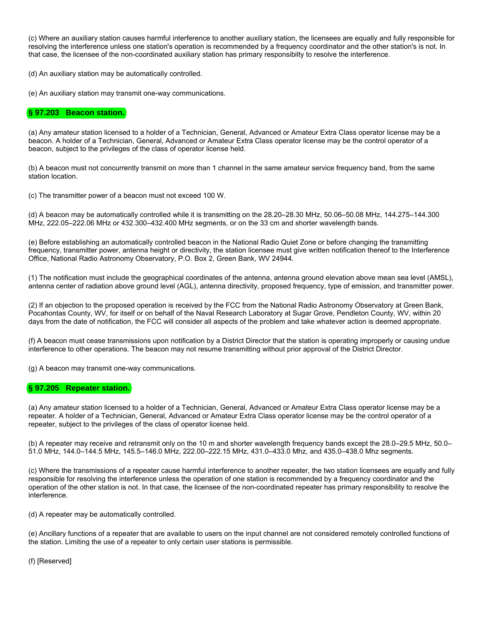(c) Where an auxiliary station causes harmful interference to another auxiliary station, the licensees are equally and fully responsible for resolving the interference unless one station's operation is recommended by a frequency coordinator and the other station's is not. In that case, the licensee of the non-coordinated auxiliary station has primary responsibilty to resolve the interference.

(d) An auxiliary station may be automatically controlled.

(e) An auxiliary station may transmit one-way communications.

### **§ 97.203 Beacon station.**

(a) Any amateur station licensed to a holder of a Technician, General, Advanced or Amateur Extra Class operator license may be a beacon. A holder of a Technician, General, Advanced or Amateur Extra Class operator license may be the control operator of a beacon, subject to the privileges of the class of operator license held.

(b) A beacon must not concurrently transmit on more than 1 channel in the same amateur service frequency band, from the same station location.

(c) The transmitter power of a beacon must not exceed 100 W.

(d) A beacon may be automatically controlled while it is transmitting on the 28.20–28.30 MHz, 50.06–50.08 MHz, 144.275–144.300 MHz, 222.05–222.06 MHz or 432.300–432.400 MHz segments, or on the 33 cm and shorter wavelength bands.

(e) Before establishing an automatically controlled beacon in the National Radio Quiet Zone or before changing the transmitting frequency, transmitter power, antenna height or directivity, the station licensee must give written notification thereof to the Interference Office, National Radio Astronomy Observatory, P.O. Box 2, Green Bank, WV 24944.

(1) The notification must include the geographical coordinates of the antenna, antenna ground elevation above mean sea level (AMSL), antenna center of radiation above ground level (AGL), antenna directivity, proposed frequency, type of emission, and transmitter power.

(2) If an objection to the proposed operation is received by the FCC from the National Radio Astronomy Observatory at Green Bank, Pocahontas County, WV, for itself or on behalf of the Naval Research Laboratory at Sugar Grove, Pendleton County, WV, within 20 days from the date of notification, the FCC will consider all aspects of the problem and take whatever action is deemed appropriate.

(f) A beacon must cease transmissions upon notification by a District Director that the station is operating improperly or causing undue interference to other operations. The beacon may not resume transmitting without prior approval of the District Director.

(g) A beacon may transmit one-way communications.

### **§ 97.205 Repeater station.**

(a) Any amateur station licensed to a holder of a Technician, General, Advanced or Amateur Extra Class operator license may be a repeater. A holder of a Technician, General, Advanced or Amateur Extra Class operator license may be the control operator of a repeater, subject to the privileges of the class of operator license held.

(b) A repeater may receive and retransmit only on the 10 m and shorter wavelength frequency bands except the 28.0–29.5 MHz, 50.0– 51.0 MHz, 144.0–144.5 MHz, 145.5–146.0 MHz, 222.00–222.15 MHz, 431.0–433.0 Mhz, and 435.0–438.0 Mhz segments.

(c) Where the transmissions of a repeater cause harmful interference to another repeater, the two station licensees are equally and fully responsible for resolving the interference unless the operation of one station is recommended by a frequency coordinator and the operation of the other station is not. In that case, the licensee of the non-coordinated repeater has primary responsibility to resolve the interference.

(d) A repeater may be automatically controlled.

(e) Ancillary functions of a repeater that are available to users on the input channel are not considered remotely controlled functions of the station. Limiting the use of a repeater to only certain user stations is permissible.

(f) [Reserved]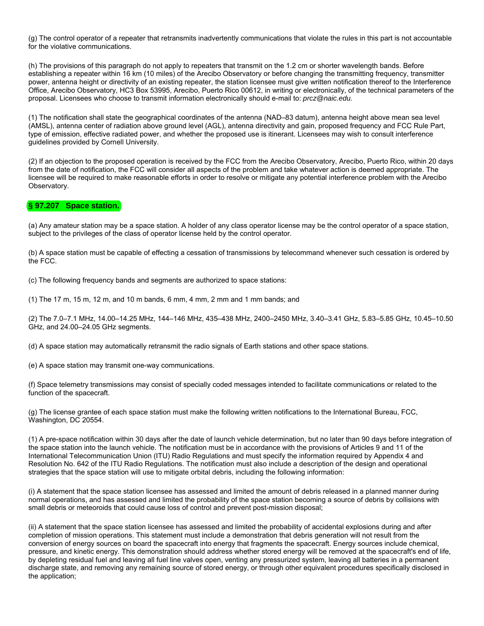(g) The control operator of a repeater that retransmits inadvertently communications that violate the rules in this part is not accountable for the violative communications.

(h) The provisions of this paragraph do not apply to repeaters that transmit on the 1.2 cm or shorter wavelength bands. Before establishing a repeater within 16 km (10 miles) of the Arecibo Observatory or before changing the transmitting frequency, transmitter power, antenna height or directivity of an existing repeater, the station licensee must give written notification thereof to the Interference Office, Arecibo Observatory, HC3 Box 53995, Arecibo, Puerto Rico 00612, in writing or electronically, of the technical parameters of the proposal. Licensees who choose to transmit information electronically should e-mail to: *prcz@naic.edu.* 

(1) The notification shall state the geographical coordinates of the antenna (NAD–83 datum), antenna height above mean sea level (AMSL), antenna center of radiation above ground level (AGL), antenna directivity and gain, proposed frequency and FCC Rule Part, type of emission, effective radiated power, and whether the proposed use is itinerant. Licensees may wish to consult interference guidelines provided by Cornell University.

(2) If an objection to the proposed operation is received by the FCC from the Arecibo Observatory, Arecibo, Puerto Rico, within 20 days from the date of notification, the FCC will consider all aspects of the problem and take whatever action is deemed appropriate. The licensee will be required to make reasonable efforts in order to resolve or mitigate any potential interference problem with the Arecibo Observatory.

### **§ 97.207 Space station.**

(a) Any amateur station may be a space station. A holder of any class operator license may be the control operator of a space station, subject to the privileges of the class of operator license held by the control operator.

(b) A space station must be capable of effecting a cessation of transmissions by telecommand whenever such cessation is ordered by the FCC.

(c) The following frequency bands and segments are authorized to space stations:

(1) The 17 m, 15 m, 12 m, and 10 m bands, 6 mm, 4 mm, 2 mm and 1 mm bands; and

(2) The 7.0–7.1 MHz, 14.00–14.25 MHz, 144–146 MHz, 435–438 MHz, 2400–2450 MHz, 3.40–3.41 GHz, 5.83–5.85 GHz, 10.45–10.50 GHz, and 24.00–24.05 GHz segments.

(d) A space station may automatically retransmit the radio signals of Earth stations and other space stations.

(e) A space station may transmit one-way communications.

(f) Space telemetry transmissions may consist of specially coded messages intended to facilitate communications or related to the function of the spacecraft.

(g) The license grantee of each space station must make the following written notifications to the International Bureau, FCC, Washington, DC 20554.

(1) A pre-space notification within 30 days after the date of launch vehicle determination, but no later than 90 days before integration of the space station into the launch vehicle. The notification must be in accordance with the provisions of Articles 9 and 11 of the International Telecommunication Union (ITU) Radio Regulations and must specify the information required by Appendix 4 and Resolution No. 642 of the ITU Radio Regulations. The notification must also include a description of the design and operational strategies that the space station will use to mitigate orbital debris, including the following information:

(i) A statement that the space station licensee has assessed and limited the amount of debris released in a planned manner during normal operations, and has assessed and limited the probability of the space station becoming a source of debris by collisions with small debris or meteoroids that could cause loss of control and prevent post-mission disposal;

(ii) A statement that the space station licensee has assessed and limited the probability of accidental explosions during and after completion of mission operations. This statement must include a demonstration that debris generation will not result from the conversion of energy sources on board the spacecraft into energy that fragments the spacecraft. Energy sources include chemical, pressure, and kinetic energy. This demonstration should address whether stored energy will be removed at the spacecraft's end of life, by depleting residual fuel and leaving all fuel line valves open, venting any pressurized system, leaving all batteries in a permanent discharge state, and removing any remaining source of stored energy, or through other equivalent procedures specifically disclosed in the application;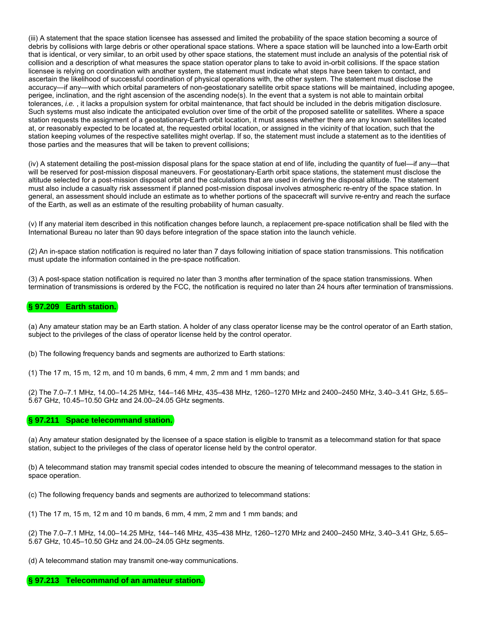(iii) A statement that the space station licensee has assessed and limited the probability of the space station becoming a source of debris by collisions with large debris or other operational space stations. Where a space station will be launched into a low-Earth orbit that is identical, or very similar, to an orbit used by other space stations, the statement must include an analysis of the potential risk of collision and a description of what measures the space station operator plans to take to avoid in-orbit collisions. If the space station licensee is relying on coordination with another system, the statement must indicate what steps have been taken to contact, and ascertain the likelihood of successful coordination of physical operations with, the other system. The statement must disclose the accuracy—if any—with which orbital parameters of non-geostationary satellite orbit space stations will be maintained, including apogee, perigee, inclination, and the right ascension of the ascending node(s). In the event that a system is not able to maintain orbital tolerances, *i.e.* , it lacks a propulsion system for orbital maintenance, that fact should be included in the debris mitigation disclosure. Such systems must also indicate the anticipated evolution over time of the orbit of the proposed satellite or satellites. Where a space station requests the assignment of a geostationary-Earth orbit location, it must assess whether there are any known satellites located at, or reasonably expected to be located at, the requested orbital location, or assigned in the vicinity of that location, such that the station keeping volumes of the respective satellites might overlap. If so, the statement must include a statement as to the identities of those parties and the measures that will be taken to prevent collisions;

(iv) A statement detailing the post-mission disposal plans for the space station at end of life, including the quantity of fuel—if any—that will be reserved for post-mission disposal maneuvers. For geostationary-Earth orbit space stations, the statement must disclose the altitude selected for a post-mission disposal orbit and the calculations that are used in deriving the disposal altitude. The statement must also include a casualty risk assessment if planned post-mission disposal involves atmospheric re-entry of the space station. In general, an assessment should include an estimate as to whether portions of the spacecraft will survive re-entry and reach the surface of the Earth, as well as an estimate of the resulting probability of human casualty.

(v) If any material item described in this notification changes before launch, a replacement pre-space notification shall be filed with the International Bureau no later than 90 days before integration of the space station into the launch vehicle.

(2) An in-space station notification is required no later than 7 days following initiation of space station transmissions. This notification must update the information contained in the pre-space notification.

(3) A post-space station notification is required no later than 3 months after termination of the space station transmissions. When termination of transmissions is ordered by the FCC, the notification is required no later than 24 hours after termination of transmissions.

### **§ 97.209 Earth station.**

(a) Any amateur station may be an Earth station. A holder of any class operator license may be the control operator of an Earth station, subject to the privileges of the class of operator license held by the control operator.

(b) The following frequency bands and segments are authorized to Earth stations:

(1) The 17 m, 15 m, 12 m, and 10 m bands, 6 mm, 4 mm, 2 mm and 1 mm bands; and

(2) The 7.0–7.1 MHz, 14.00–14.25 MHz, 144–146 MHz, 435–438 MHz, 1260–1270 MHz and 2400–2450 MHz, 3.40–3.41 GHz, 5.65– 5.67 GHz, 10.45–10.50 GHz and 24.00–24.05 GHz segments.

#### **§ 97.211 Space telecommand station.**

(a) Any amateur station designated by the licensee of a space station is eligible to transmit as a telecommand station for that space station, subject to the privileges of the class of operator license held by the control operator.

(b) A telecommand station may transmit special codes intended to obscure the meaning of telecommand messages to the station in space operation.

(c) The following frequency bands and segments are authorized to telecommand stations:

(1) The 17 m, 15 m, 12 m and 10 m bands, 6 mm, 4 mm, 2 mm and 1 mm bands; and

(2) The 7.0–7.1 MHz, 14.00–14.25 MHz, 144–146 MHz, 435–438 MHz, 1260–1270 MHz and 2400–2450 MHz, 3.40–3.41 GHz, 5.65– 5.67 GHz, 10.45–10.50 GHz and 24.00–24.05 GHz segments.

(d) A telecommand station may transmit one-way communications.

**§ 97.213 Telecommand of an amateur station.**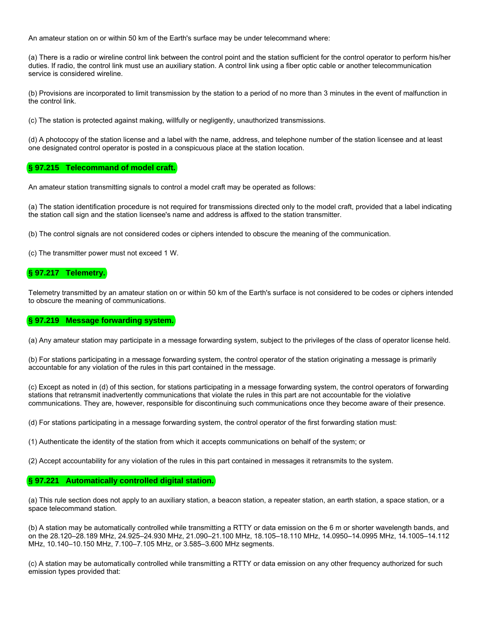An amateur station on or within 50 km of the Earth's surface may be under telecommand where:

(a) There is a radio or wireline control link between the control point and the station sufficient for the control operator to perform his/her duties. If radio, the control link must use an auxiliary station. A control link using a fiber optic cable or another telecommunication service is considered wireline.

(b) Provisions are incorporated to limit transmission by the station to a period of no more than 3 minutes in the event of malfunction in the control link.

(c) The station is protected against making, willfully or negligently, unauthorized transmissions.

(d) A photocopy of the station license and a label with the name, address, and telephone number of the station licensee and at least one designated control operator is posted in a conspicuous place at the station location.

### **§ 97.215 Telecommand of model craft.**

An amateur station transmitting signals to control a model craft may be operated as follows:

(a) The station identification procedure is not required for transmissions directed only to the model craft, provided that a label indicating the station call sign and the station licensee's name and address is affixed to the station transmitter.

(b) The control signals are not considered codes or ciphers intended to obscure the meaning of the communication.

(c) The transmitter power must not exceed 1 W.

#### **§ 97.217 Telemetry.**

Telemetry transmitted by an amateur station on or within 50 km of the Earth's surface is not considered to be codes or ciphers intended to obscure the meaning of communications.

### **§ 97.219 Message forwarding system.**

(a) Any amateur station may participate in a message forwarding system, subject to the privileges of the class of operator license held.

(b) For stations participating in a message forwarding system, the control operator of the station originating a message is primarily accountable for any violation of the rules in this part contained in the message.

(c) Except as noted in (d) of this section, for stations participating in a message forwarding system, the control operators of forwarding stations that retransmit inadvertently communications that violate the rules in this part are not accountable for the violative communications. They are, however, responsible for discontinuing such communications once they become aware of their presence.

(d) For stations participating in a message forwarding system, the control operator of the first forwarding station must:

(1) Authenticate the identity of the station from which it accepts communications on behalf of the system; or

(2) Accept accountability for any violation of the rules in this part contained in messages it retransmits to the system.

### **§ 97.221 Automatically controlled digital station.**

(a) This rule section does not apply to an auxiliary station, a beacon station, a repeater station, an earth station, a space station, or a space telecommand station.

(b) A station may be automatically controlled while transmitting a RTTY or data emission on the 6 m or shorter wavelength bands, and on the 28.120–28.189 MHz, 24.925–24.930 MHz, 21.090–21.100 MHz, 18.105–18.110 MHz, 14.0950–14.0995 MHz, 14.1005–14.112 MHz, 10.140–10.150 MHz, 7.100–7.105 MHz, or 3.585–3.600 MHz segments.

(c) A station may be automatically controlled while transmitting a RTTY or data emission on any other frequency authorized for such emission types provided that: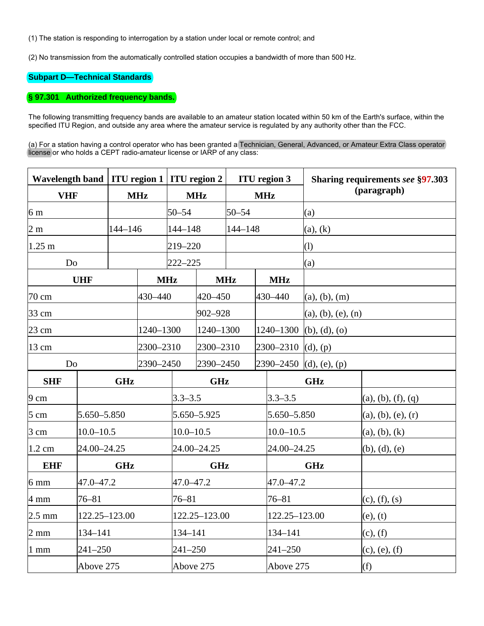(1) The station is responding to interrogation by a station under local or remote control; and

(2) No transmission from the automatically controlled station occupies a bandwidth of more than 500 Hz.

### **Subpart D—Technical Standards**

### **§ 97.301 Authorized frequency bands.**

The following transmitting frequency bands are available to an amateur station located within 50 km of the Earth's surface, within the specified ITU Region, and outside any area where the amateur service is regulated by any authority other than the FCC.

(a) For a station having a control operator who has been granted a Technician, General, Advanced, or Amateur Extra Class operator license or who holds a CEPT radio-amateur license or IARP of any class:

| Wavelength band   ITU region 1   ITU region 2<br><b>VHF</b><br><b>MHz</b> |               |            |            | <b>MHz</b>    |               | <b>ITU</b> region 3<br><b>MHz</b> |               | Sharing requirements see §97.303 |                    |
|---------------------------------------------------------------------------|---------------|------------|------------|---------------|---------------|-----------------------------------|---------------|----------------------------------|--------------------|
|                                                                           |               |            |            |               |               |                                   |               | (paragraph)                      |                    |
| 6 <sub>m</sub>                                                            |               |            | $50 - 54$  |               | $50 - 54$     |                                   | (a)           |                                  |                    |
| 2m                                                                        |               | 144-146    |            | 144-148       |               | 144-148                           |               | (a), (k)                         |                    |
| $1.25 \text{ m}$                                                          |               |            |            | 219-220       |               |                                   |               | (1)                              |                    |
| Do                                                                        |               |            |            | 222-225       |               |                                   |               | (a)                              |                    |
|                                                                           | <b>UHF</b>    |            | <b>MHz</b> |               |               | <b>MHz</b>                        | <b>MHz</b>    |                                  |                    |
| 70 cm                                                                     |               |            | 430-440    |               | 420-450       |                                   | 430-440       | (a), (b), (m)                    |                    |
| 33 cm                                                                     |               |            |            |               | 902-928       |                                   |               | (a), (b), (e), (n)               |                    |
| 23 cm                                                                     |               |            | 1240-1300  |               | 1240-1300     |                                   |               | $ 1240-1300 $ (b), (d), (o)      |                    |
| 13 cm                                                                     |               |            | 2300-2310  |               | 2300-2310     |                                   | 2300-2310     | (d), (p)                         |                    |
| Do                                                                        |               |            | 2390-2450  |               | 2390-2450     |                                   | 2390-2450     | (d), (e), (p)                    |                    |
| <b>SHF</b>                                                                |               | <b>GHz</b> |            |               | <b>GHz</b>    |                                   |               | <b>GHz</b>                       |                    |
| 9 cm                                                                      |               |            |            | $3.3 - 3.5$   |               |                                   | $3.3 - 3.5$   |                                  | (a), (b), (f), (q) |
| $5 \text{ cm}$                                                            | 5.650-5.850   |            |            |               | 5.650-5.925   |                                   | 5.650-5.850   |                                  | (a), (b), (e), (r) |
| 3 cm                                                                      | $10.0 - 10.5$ |            |            |               | $10.0 - 10.5$ |                                   | $10.0 - 10.5$ |                                  | (a), (b), (k)      |
| $1.2 \text{ cm}$                                                          | 24.00-24.25   |            |            |               | 24.00-24.25   |                                   |               | $24.00 - 24.25$<br>(b), (d), (e) |                    |
| <b>EHF</b>                                                                |               | <b>GHz</b> |            |               | <b>GHz</b>    |                                   |               | <b>GHz</b>                       |                    |
| 6 mm                                                                      | 47.0-47.2     |            | 47.0-47.2  |               |               | 47.0-47.2                         |               |                                  |                    |
| $4 \text{ mm}$                                                            | $76 - 81$     |            |            | $76 - 81$     |               | $76 - 81$                         |               | (c), (f), (s)                    |                    |
| $2.5 \text{ mm}$                                                          | 122.25-123.00 |            |            | 122.25-123.00 |               | 122.25-123.00                     |               | (e), (t)                         |                    |
| $2 \text{ mm}$                                                            | 134-141       |            |            | 134-141       |               | 134-141                           |               | (c), (f)                         |                    |
| $1 \text{ mm}$                                                            | $241 - 250$   |            |            | $241 - 250$   |               |                                   | $241 - 250$   |                                  | (c), (e), (f)      |
|                                                                           | Above 275     |            |            |               | Above 275     |                                   | Above 275     |                                  | (f)                |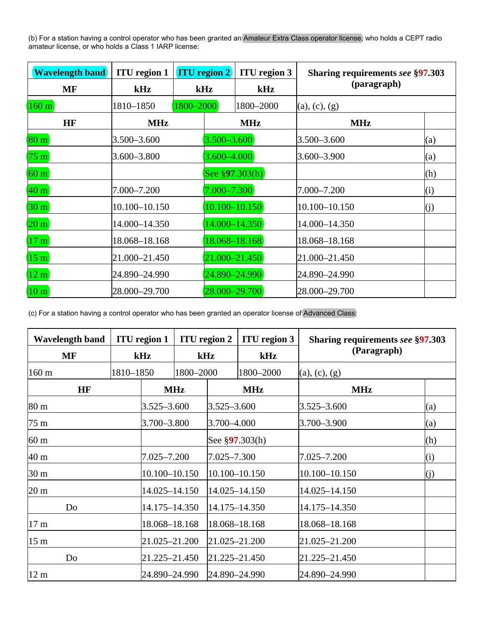(b) For a station having a control operator who has been granted an Amateur Extra Class operator license, who holds a CEPT radio amateur license, or who holds a Class 1 IARP license:

| <b>Wavelength band</b> | <b>ITU</b> region 1 | <b>ITU region 2</b> |                             | Sharing requirements see §97.303 |     |
|------------------------|---------------------|---------------------|-----------------------------|----------------------------------|-----|
| MF                     | kHz                 | kHz                 | ${\bf kHz}$                 | (paragraph)                      |     |
| $160 \text{ m}$        | 1810-1850           | $ 1800 - 2000 $     | 1800-2000                   | (a), (c), (g)                    |     |
| <b>HF</b>              | <b>MHz</b>          |                     | <b>MHz</b>                  | <b>MHz</b>                       |     |
| $ 80 \text{ m} $       | $3.500 - 3.600$     |                     | $3.500 - 3.600$             | $3.500 - 3.600$                  | (a) |
| $75 \text{ m}$         | 3.600-3.800         |                     | $ 3.600 - 4.000 $           | 3.600-3.900                      | (a) |
| $60 \text{ m}$         |                     |                     | See $\S 97.303(h)$          |                                  | (h) |
| $ 40 \text{ m} $       | 7.000-7.200         |                     | $\vert 7.000 - 7.300 \vert$ | 7.000-7.200                      | (i) |
| $30 \text{ m}$         | 10.100-10.150       |                     | $ 10.100 - 10.150 $         | 10.100-10.150                    | (j) |
| $ 20 \text{ m} $       | 14.000-14.350       |                     | 14.000-14.350               | 14.000-14.350                    |     |
| 17 <sub>m</sub>        | 18.068-18.168       |                     | 18.068-18.168               | 18.068-18.168                    |     |
| 15 <sub>m</sub>        | 21.000-21.450       |                     | $[21.000 - 21.450]$         | 21.000-21.450                    |     |
| $12 \text{ m}$         | 24.890-24.990       |                     | $24.890 - 24.990$           | 24.890-24.990                    |     |
| 10 <sub>m</sub>        | 28.000-29.700       |                     | $28.000 - 29.700$           | 28.000-29.700                    |     |

(c) For a station having a control operator who has been granted an operator license of Advanced Class:

| <b>Wavelength band</b> |           | <b>ITU</b> region 1<br><b>ITU</b> region 2 |                                |                            | <b>ITU</b> region 3 | Sharing requirements see §97.303 |     |
|------------------------|-----------|--------------------------------------------|--------------------------------|----------------------------|---------------------|----------------------------------|-----|
| MF                     |           |                                            | kHz<br>kHz                     |                            | kHz                 | (Paragraph)                      |     |
| 160 m                  | 1810-1850 |                                            | 1800-2000                      |                            | 1800-2000           | (a), (c), (g)                    |     |
| <b>HF</b>              |           |                                            | <b>MHz</b>                     |                            | <b>MHz</b>          | <b>MHz</b>                       |     |
| 80 <sub>m</sub>        |           | $3.525 - 3.600$                            |                                | $3.525 - 3.600$            |                     | $3.525 - 3.600$                  | (a) |
| 75 m                   |           | 3.700-3.800                                |                                | $3.700 - 4.000$            |                     | 3.700-3.900                      | (a) |
| $60 \text{ m}$         |           |                                            |                                | See $\S$ <b>97</b> .303(h) |                     |                                  | (h) |
| 40 m                   |           |                                            | 7.025–7.200<br>7.025–7.300     |                            |                     | 7.025–7.200                      | (i) |
| 30 <sub>m</sub>        |           | 10.100-10.150                              |                                | 10.100-10.150              |                     | 10.100-10.150                    | (j) |
| $20 \text{ m}$         |           | 14.025-14.150                              |                                | 14.025-14.150              |                     | 14.025-14.150                    |     |
| Do                     |           | 14.175-14.350                              |                                | 14.175-14.350              |                     | 14.175-14.350                    |     |
| 17 <sub>m</sub>        |           | 18.068-18.168                              |                                | 18.068-18.168              |                     | 18.068-18.168                    |     |
| 15 <sub>m</sub>        |           |                                            | 21.025-21.200<br>21.025-21.200 |                            |                     | 21.025-21.200                    |     |
| Do                     |           | 21.225-21.450                              |                                | $21.225 - 21.450$          |                     | 21.225–21.450                    |     |
| 12 <sub>m</sub>        |           | 24.890–24.990                              |                                | 24.890-24.990              |                     | 24.890–24.990                    |     |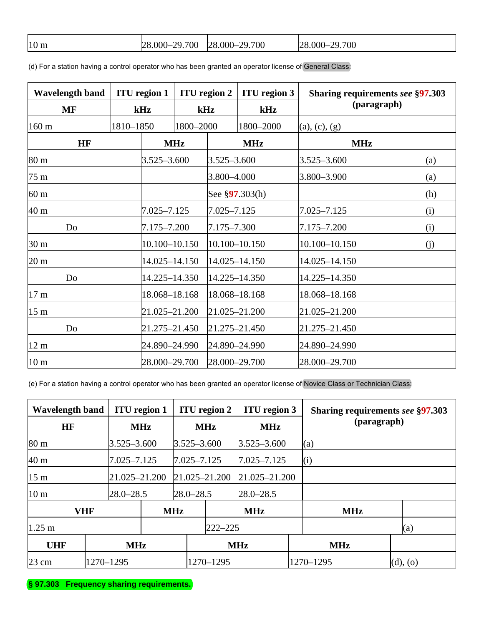| 10 <sub>m</sub> | 28.000-29.700 | $28.000 - 2$<br>$-29.700$ | $-29.700$<br>$28.000 - 2$ |  |
|-----------------|---------------|---------------------------|---------------------------|--|
|-----------------|---------------|---------------------------|---------------------------|--|

| <b>Wavelength band</b> | <b>ITU</b> region 1 |            | <b>ITU</b> region 2 | <b>ITU</b> region 3 | Sharing requirements see §97.303 |     |
|------------------------|---------------------|------------|---------------------|---------------------|----------------------------------|-----|
| <b>MF</b>              | $\bf kHz$           | kHz        |                     | kHz                 | (paragraph)                      |     |
| 160 m                  | 1810-1850           | 1800-2000  |                     | 1800-2000           | (a), (c), (g)                    |     |
| <b>HF</b>              |                     | <b>MHz</b> |                     | <b>MHz</b>          | <b>MHz</b>                       |     |
| 80 <sub>m</sub>        | $3.525 - 3.600$     |            | $3.525 - 3.600$     |                     | $3.525 - 3.600$                  | (a) |
| $75 \text{ m}$         |                     |            | 3.800-4.000         |                     | 3.800-3.900                      | (a) |
| 60 <sub>m</sub>        |                     |            | See $\S$ 97.303(h)  |                     |                                  | (h) |
| 40 m                   | 7.025-7.125         |            | 7.025-7.125         |                     | 7.025-7.125                      | (i) |
| Do                     | $7.175 - 7.200$     |            | 7.175-7.300         |                     | 7.175-7.200                      | (i) |
| 30 <sub>m</sub>        | 10.100-10.150       |            | 10.100-10.150       |                     | 10.100-10.150                    | (i) |
| $20 \text{ m}$         | 14.025-14.150       |            |                     | 14.025-14.150       | 14.025-14.150                    |     |
| Do                     | 14.225-14.350       |            |                     | 14.225-14.350       | 14.225-14.350                    |     |
| 17 <sub>m</sub>        | 18.068-18.168       |            | 18.068-18.168       |                     | 18.068-18.168                    |     |
| 15 <sub>m</sub>        | 21.025-21.200       |            | 21.025-21.200       |                     | 21.025-21.200                    |     |
| Do                     | 21.275-21.450       |            | 21.275-21.450       |                     | 21.275-21.450                    |     |
| 12 <sub>m</sub>        | 24.890-24.990       |            | 24.890-24.990       |                     | 24.890–24.990                    |     |
| 10 <sub>m</sub>        | 28.000-29.700       |            | 28.000-29.700       |                     | 28.000-29.700                    |     |

(d) For a station having a control operator who has been granted an operator license of General Class:

(e) For a station having a control operator who has been granted an operator license of Novice Class or Technician Class:

| <b>Wavelength band</b> |                 | <b>ITU</b> region 1 |                 | <b>ITU</b> region 2 |                 | <b>ITU</b> region 3 |     | Sharing requirements see §97.303 |          |
|------------------------|-----------------|---------------------|-----------------|---------------------|-----------------|---------------------|-----|----------------------------------|----------|
| HF                     |                 |                     | <b>MHz</b>      |                     | <b>MHz</b>      | <b>MHz</b>          |     | (paragraph)                      |          |
| 80 <sub>m</sub>        | $3.525 - 3.600$ |                     | $3.525 - 3.600$ |                     | $3.525 - 3.600$ |                     | (a) |                                  |          |
| 40 <sub>m</sub>        |                 | 7.025-7.125         |                 | 7.025-7.125         |                 | $7.025 - 7.125$     |     | (i)                              |          |
| 15 <sub>m</sub>        |                 | 21.025-21.200       |                 |                     | 21.025-21.200   | 21.025-21.200       |     |                                  |          |
| 10 <sub>m</sub>        |                 | $28.0 - 28.5$       |                 | $28.0 - 28.5$       |                 | $28.0 - 28.5$       |     |                                  |          |
|                        | <b>VHF</b>      |                     |                 | <b>MHz</b>          |                 | <b>MHz</b>          |     | <b>MHz</b>                       |          |
| $1.25 \text{ m}$       |                 |                     | $222 - 225$     |                     |                 |                     | (a) |                                  |          |
| <b>UHF</b>             |                 | <b>MHz</b>          |                 |                     |                 | <b>MHz</b>          |     | <b>MHz</b>                       |          |
| $23 \text{ cm}$        | 1270-1295       |                     |                 |                     | 1270-1295       |                     |     | 1270-1295                        | (d), (o) |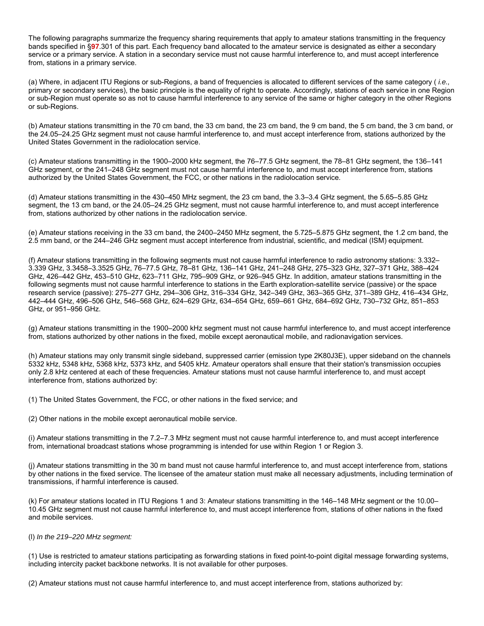The following paragraphs summarize the frequency sharing requirements that apply to amateur stations transmitting in the frequency bands specified in §**97**.301 of this part. Each frequency band allocated to the amateur service is designated as either a secondary service or a primary service. A station in a secondary service must not cause harmful interference to, and must accept interference from, stations in a primary service.

(a) Where, in adjacent ITU Regions or sub-Regions, a band of frequencies is allocated to different services of the same category ( *i.e.,*  primary or secondary services), the basic principle is the equality of right to operate. Accordingly, stations of each service in one Region or sub-Region must operate so as not to cause harmful interference to any service of the same or higher category in the other Regions or sub-Regions.

(b) Amateur stations transmitting in the 70 cm band, the 33 cm band, the 23 cm band, the 9 cm band, the 5 cm band, the 3 cm band, or the 24.05–24.25 GHz segment must not cause harmful interference to, and must accept interference from, stations authorized by the United States Government in the radiolocation service.

(c) Amateur stations transmitting in the 1900–2000 kHz segment, the 76–77.5 GHz segment, the 78–81 GHz segment, the 136–141 GHz segment, or the 241–248 GHz segment must not cause harmful interference to, and must accept interference from, stations authorized by the United States Government, the FCC, or other nations in the radiolocation service.

(d) Amateur stations transmitting in the 430–450 MHz segment, the 23 cm band, the 3.3–3.4 GHz segment, the 5.65–5.85 GHz segment, the 13 cm band, or the 24.05–24.25 GHz segment, must not cause harmful interference to, and must accept interference from, stations authorized by other nations in the radiolocation service.

(e) Amateur stations receiving in the 33 cm band, the 2400–2450 MHz segment, the 5.725–5.875 GHz segment, the 1.2 cm band, the 2.5 mm band, or the 244–246 GHz segment must accept interference from industrial, scientific, and medical (ISM) equipment.

(f) Amateur stations transmitting in the following segments must not cause harmful interference to radio astronomy stations: 3.332– 3.339 GHz, 3.3458–3.3525 GHz, 76–77.5 GHz, 78–81 GHz, 136–141 GHz, 241–248 GHz, 275–323 GHz, 327–371 GHz, 388–424 GHz, 426–442 GHz, 453–510 GHz, 623–711 GHz, 795–909 GHz, or 926–945 GHz. In addition, amateur stations transmitting in the following segments must not cause harmful interference to stations in the Earth exploration-satellite service (passive) or the space research service (passive): 275–277 GHz, 294–306 GHz, 316–334 GHz, 342–349 GHz, 363–365 GHz, 371–389 GHz, 416–434 GHz, 442–444 GHz, 496–506 GHz, 546–568 GHz, 624–629 GHz, 634–654 GHz, 659–661 GHz, 684–692 GHz, 730–732 GHz, 851–853 GHz, or 951–956 GHz.

(g) Amateur stations transmitting in the 1900–2000 kHz segment must not cause harmful interference to, and must accept interference from, stations authorized by other nations in the fixed, mobile except aeronautical mobile, and radionavigation services.

(h) Amateur stations may only transmit single sideband, suppressed carrier (emission type 2K80J3E), upper sideband on the channels 5332 kHz, 5348 kHz, 5368 kHz, 5373 kHz, and 5405 kHz. Amateur operators shall ensure that their station's transmission occupies only 2.8 kHz centered at each of these frequencies. Amateur stations must not cause harmful interference to, and must accept interference from, stations authorized by:

(1) The United States Government, the FCC, or other nations in the fixed service; and

(2) Other nations in the mobile except aeronautical mobile service.

(i) Amateur stations transmitting in the 7.2–7.3 MHz segment must not cause harmful interference to, and must accept interference from, international broadcast stations whose programming is intended for use within Region 1 or Region 3.

(j) Amateur stations transmitting in the 30 m band must not cause harmful interference to, and must accept interference from, stations by other nations in the fixed service. The licensee of the amateur station must make all necessary adjustments, including termination of transmissions, if harmful interference is caused.

(k) For amateur stations located in ITU Regions 1 and 3: Amateur stations transmitting in the 146–148 MHz segment or the 10.00– 10.45 GHz segment must not cause harmful interference to, and must accept interference from, stations of other nations in the fixed and mobile services.

### (l) *In the 219–220 MHz segment:*

(1) Use is restricted to amateur stations participating as forwarding stations in fixed point-to-point digital message forwarding systems, including intercity packet backbone networks. It is not available for other purposes.

(2) Amateur stations must not cause harmful interference to, and must accept interference from, stations authorized by: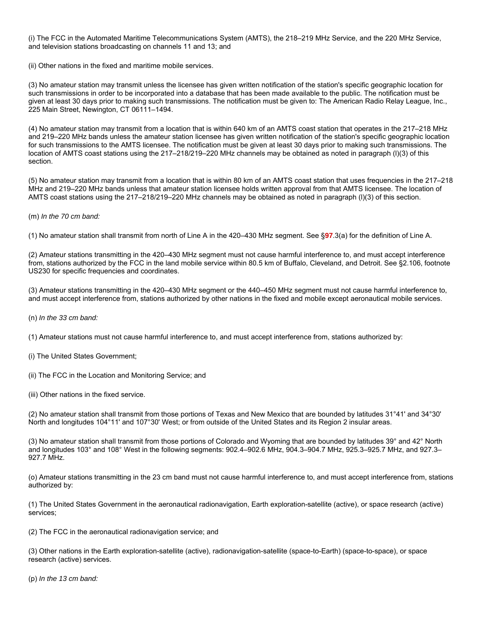(i) The FCC in the Automated Maritime Telecommunications System (AMTS), the 218–219 MHz Service, and the 220 MHz Service, and television stations broadcasting on channels 11 and 13; and

(ii) Other nations in the fixed and maritime mobile services.

(3) No amateur station may transmit unless the licensee has given written notification of the station's specific geographic location for such transmissions in order to be incorporated into a database that has been made available to the public. The notification must be given at least 30 days prior to making such transmissions. The notification must be given to: The American Radio Relay League, Inc., 225 Main Street, Newington, CT 06111–1494.

(4) No amateur station may transmit from a location that is within 640 km of an AMTS coast station that operates in the 217–218 MHz and 219–220 MHz bands unless the amateur station licensee has given written notification of the station's specific geographic location for such transmissions to the AMTS licensee. The notification must be given at least 30 days prior to making such transmissions. The location of AMTS coast stations using the 217–218/219–220 MHz channels may be obtained as noted in paragraph (l)(3) of this section.

(5) No amateur station may transmit from a location that is within 80 km of an AMTS coast station that uses frequencies in the 217–218 MHz and 219–220 MHz bands unless that amateur station licensee holds written approval from that AMTS licensee. The location of AMTS coast stations using the 217–218/219–220 MHz channels may be obtained as noted in paragraph (l)(3) of this section.

#### (m) *In the 70 cm band:*

(1) No amateur station shall transmit from north of Line A in the 420–430 MHz segment. See §**97**.3(a) for the definition of Line A.

(2) Amateur stations transmitting in the 420–430 MHz segment must not cause harmful interference to, and must accept interference from, stations authorized by the FCC in the land mobile service within 80.5 km of Buffalo, Cleveland, and Detroit. See §2.106, footnote US230 for specific frequencies and coordinates.

(3) Amateur stations transmitting in the 420–430 MHz segment or the 440–450 MHz segment must not cause harmful interference to, and must accept interference from, stations authorized by other nations in the fixed and mobile except aeronautical mobile services.

(n) *In the 33 cm band:* 

(1) Amateur stations must not cause harmful interference to, and must accept interference from, stations authorized by:

(i) The United States Government;

(ii) The FCC in the Location and Monitoring Service; and

(iii) Other nations in the fixed service.

(2) No amateur station shall transmit from those portions of Texas and New Mexico that are bounded by latitudes 31°41' and 34°30' North and longitudes 104°11' and 107°30' West; or from outside of the United States and its Region 2 insular areas.

(3) No amateur station shall transmit from those portions of Colorado and Wyoming that are bounded by latitudes 39° and 42° North and longitudes 103° and 108° West in the following segments: 902.4–902.6 MHz, 904.3–904.7 MHz, 925.3–925.7 MHz, and 927.3– 927.7 MHz.

(o) Amateur stations transmitting in the 23 cm band must not cause harmful interference to, and must accept interference from, stations authorized by:

(1) The United States Government in the aeronautical radionavigation, Earth exploration-satellite (active), or space research (active) services;

(2) The FCC in the aeronautical radionavigation service; and

(3) Other nations in the Earth exploration-satellite (active), radionavigation-satellite (space-to-Earth) (space-to-space), or space research (active) services.

(p) *In the 13 cm band:*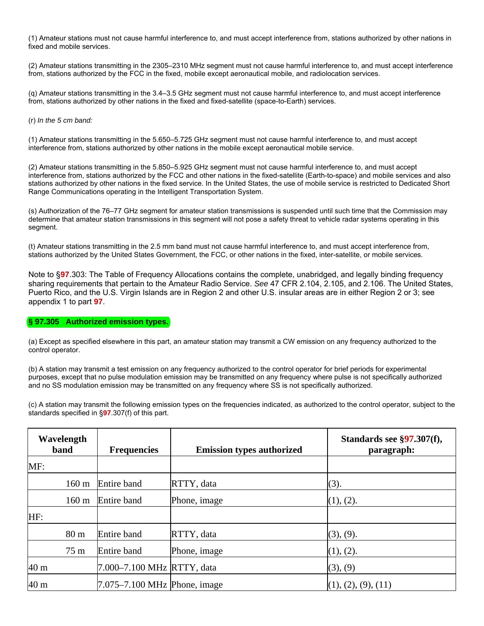(1) Amateur stations must not cause harmful interference to, and must accept interference from, stations authorized by other nations in fixed and mobile services.

(2) Amateur stations transmitting in the 2305–2310 MHz segment must not cause harmful interference to, and must accept interference from, stations authorized by the FCC in the fixed, mobile except aeronautical mobile, and radiolocation services.

(q) Amateur stations transmitting in the 3.4–3.5 GHz segment must not cause harmful interference to, and must accept interference from, stations authorized by other nations in the fixed and fixed-satellite (space-to-Earth) services.

(r) *In the 5 cm band:* 

(1) Amateur stations transmitting in the 5.650–5.725 GHz segment must not cause harmful interference to, and must accept interference from, stations authorized by other nations in the mobile except aeronautical mobile service.

(2) Amateur stations transmitting in the 5.850–5.925 GHz segment must not cause harmful interference to, and must accept interference from, stations authorized by the FCC and other nations in the fixed-satellite (Earth-to-space) and mobile services and also stations authorized by other nations in the fixed service. In the United States, the use of mobile service is restricted to Dedicated Short Range Communications operating in the Intelligent Transportation System.

(s) Authorization of the 76–77 GHz segment for amateur station transmissions is suspended until such time that the Commission may determine that amateur station transmissions in this segment will not pose a safety threat to vehicle radar systems operating in this segment.

(t) Amateur stations transmitting in the 2.5 mm band must not cause harmful interference to, and must accept interference from, stations authorized by the United States Government, the FCC, or other nations in the fixed, inter-satellite, or mobile services.

Note to §**97**.303: The Table of Frequency Allocations contains the complete, unabridged, and legally binding frequency sharing requirements that pertain to the Amateur Radio Service. *See* 47 CFR 2.104, 2.105, and 2.106. The United States, Puerto Rico, and the U.S. Virgin Islands are in Region 2 and other U.S. insular areas are in either Region 2 or 3; see appendix 1 to part **97**.

### **§ 97.305 Authorized emission types.**

(a) Except as specified elsewhere in this part, an amateur station may transmit a CW emission on any frequency authorized to the control operator.

(b) A station may transmit a test emission on any frequency authorized to the control operator for brief periods for experimental purposes, except that no pulse modulation emission may be transmitted on any frequency where pulse is not specifically authorized and no SS modulation emission may be transmitted on any frequency where SS is not specifically authorized.

(c) A station may transmit the following emission types on the frequencies indicated, as authorized to the control operator, subject to the standards specified in §**97**.307(f) of this part.

| Wavelength<br>band | <b>Frequencies</b>           | <b>Emission types authorized</b> | Standards see $\S$ 97.307(f),<br>paragraph: |
|--------------------|------------------------------|----------------------------------|---------------------------------------------|
| MF:                |                              |                                  |                                             |
| 160 m              | Entire band                  | RTTY, data                       | (3).                                        |
| 160 <sub>m</sub>   | Entire band                  | Phone, image                     | (1), (2).                                   |
| HF:                |                              |                                  |                                             |
| 80 m               | Entire band                  | RTTY, data                       | (3), (9).                                   |
| $75 \text{ m}$     | Entire band                  | Phone, image                     | (1), (2).                                   |
| 40 m               | 7.000-7.100 MHz RTTY, data   |                                  | (3), (9)                                    |
| 40 <sub>m</sub>    | 7.075–7.100 MHz Phone, image |                                  | (1), (2), (9), (11)                         |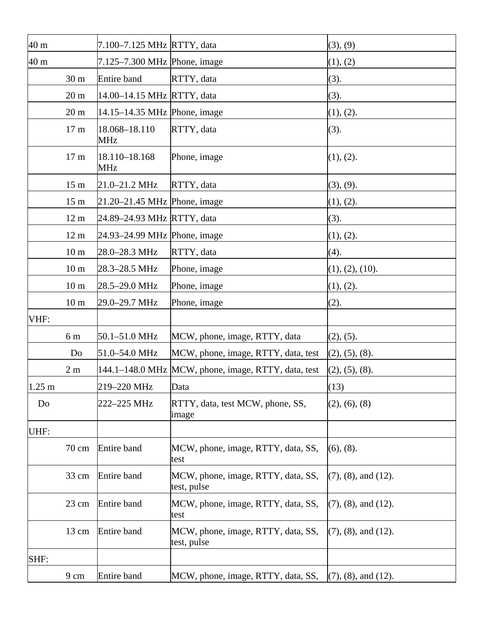| 40 m             |                 | 7.100-7.125 MHz RTTY, data       |                                                     | (3), (9)                     |
|------------------|-----------------|----------------------------------|-----------------------------------------------------|------------------------------|
| 40 m             |                 | 7.125–7.300 MHz Phone, image     |                                                     | (1), (2)                     |
|                  | 30 <sub>m</sub> | Entire band                      | RTTY, data                                          | (3).                         |
|                  | 20 <sub>m</sub> | 14.00-14.15 MHz RTTY, data       |                                                     | $(3)$ .                      |
|                  | 20 <sub>m</sub> | 14.15–14.35 MHz Phone, image     |                                                     | (1), (2).                    |
|                  | 17 <sub>m</sub> | 18.068-18.110<br><b>MHz</b>      | RTTY, data                                          | (3).                         |
|                  | 17 <sub>m</sub> | 18.110-18.168<br><b>MHz</b>      | Phone, image                                        | (1), (2).                    |
|                  | 15 <sub>m</sub> | 21.0-21.2 MHz                    | RTTY, data                                          | (3), (9).                    |
|                  | 15 <sub>m</sub> | $21.20 - 21.45$ MHz Phone, image |                                                     | (1), (2).                    |
|                  | 12 <sub>m</sub> | 24.89-24.93 MHz RTTY, data       |                                                     | (3).                         |
|                  | 12 <sub>m</sub> | 24.93–24.99 MHz Phone, image     |                                                     | (1), (2).                    |
|                  | 10 <sub>m</sub> | 28.0-28.3 MHz                    | RTTY, data                                          | (4).                         |
|                  | 10 <sub>m</sub> | 28.3-28.5 MHz                    | Phone, image                                        | (1), (2), (10).              |
|                  | $10\ {\rm m}$   | 28.5-29.0 MHz                    | Phone, image                                        | (1), (2).                    |
|                  | 10 <sub>m</sub> | 29.0-29.7 MHz                    | Phone, image                                        | (2).                         |
| VHF:             |                 |                                  |                                                     |                              |
|                  | 6 <sub>m</sub>  | 50.1-51.0 MHz                    | MCW, phone, image, RTTY, data                       | (2), (5).                    |
|                  | Do              | 51.0-54.0 MHz                    | MCW, phone, image, RTTY, data, test                 | (2), (5), (8).               |
|                  | 2m              |                                  | 144.1–148.0 MHz MCW, phone, image, RTTY, data, test | (2), (5), (8).               |
| $1.25 \text{ m}$ |                 | 219-220 MHz                      | Data                                                | (13)                         |
| Do               |                 | 222–225 MHz                      | RTTY, data, test MCW, phone, SS,<br>image           | (2), (6), (8)                |
| UHF:             |                 |                                  |                                                     |                              |
|                  | $70 \text{ cm}$ | Entire band                      | MCW, phone, image, RTTY, data, SS,<br>test          | (6), (8).                    |
|                  | 33 cm           | Entire band                      | MCW, phone, image, RTTY, data, SS,<br>test, pulse   | $(7)$ , $(8)$ , and $(12)$ . |
|                  | 23 cm           | Entire band                      | MCW, phone, image, RTTY, data, SS,<br>test          | $(7)$ , $(8)$ , and $(12)$ . |
|                  | $13 \text{ cm}$ | Entire band                      | MCW, phone, image, RTTY, data, SS,<br>test, pulse   | $(7)$ , $(8)$ , and $(12)$ . |
| SHF:             |                 |                                  |                                                     |                              |
|                  | $9 \text{ cm}$  | Entire band                      | MCW, phone, image, RTTY, data, SS,                  | $(7)$ , $(8)$ , and $(12)$ . |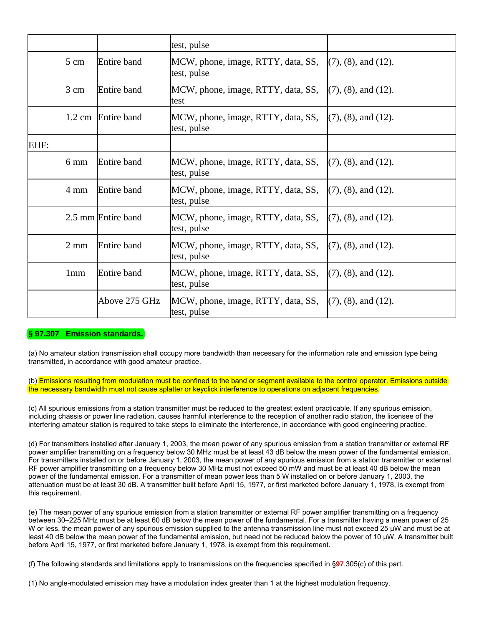|                |                    | test, pulse                                       |                              |
|----------------|--------------------|---------------------------------------------------|------------------------------|
| $5 \text{ cm}$ | Entire band        | MCW, phone, image, RTTY, data, SS,<br>test, pulse | $(7)$ , $(8)$ , and $(12)$ . |
| 3 cm           | Entire band        | MCW, phone, image, RTTY, data, SS,<br>test        | $(7)$ , $(8)$ , and $(12)$ . |
|                | 1.2 cm Entire band | MCW, phone, image, RTTY, data, SS,<br>test, pulse | $(7)$ , $(8)$ , and $(12)$ . |
| EHF:           |                    |                                                   |                              |
| 6 mm           | Entire band        | MCW, phone, image, RTTY, data, SS,<br>test, pulse | $(7)$ , $(8)$ , and $(12)$ . |
| 4 mm           | Entire band        | MCW, phone, image, RTTY, data, SS,<br>test, pulse | $(7)$ , $(8)$ , and $(12)$ . |
|                | 2.5 mm Entire band | MCW, phone, image, RTTY, data, SS,<br>test, pulse | $(7)$ , $(8)$ , and $(12)$ . |
| $2 \text{ mm}$ | Entire band        | MCW, phone, image, RTTY, data, SS,<br>test, pulse | $(7)$ , $(8)$ , and $(12)$ . |
| 1mm            | Entire band        | MCW, phone, image, RTTY, data, SS,<br>test, pulse | $(7)$ , $(8)$ , and $(12)$ . |
|                | Above 275 GHz      | MCW, phone, image, RTTY, data, SS,<br>test, pulse | $(7)$ , $(8)$ , and $(12)$ . |

# **§ 97.307 Emission standards.**

(a) No amateur station transmission shall occupy more bandwidth than necessary for the information rate and emission type being transmitted, in accordance with good amateur practice.

(b) Emissions resulting from modulation must be confined to the band or segment available to the control operator. Emissions outside the necessary bandwidth must not cause splatter or keyclick interference to operations on adjacent frequencies.

(c) All spurious emissions from a station transmitter must be reduced to the greatest extent practicable. If any spurious emission, including chassis or power line radiation, causes harmful interference to the reception of another radio station, the licensee of the interfering amateur station is required to take steps to eliminate the interference, in accordance with good engineering practice.

(d) For transmitters installed after January 1, 2003, the mean power of any spurious emission from a station transmitter or external RF power amplifier transmitting on a frequency below 30 MHz must be at least 43 dB below the mean power of the fundamental emission. For transmitters installed on or before January 1, 2003, the mean power of any spurious emission from a station transmitter or external RF power amplifier transmitting on a frequency below 30 MHz must not exceed 50 mW and must be at least 40 dB below the mean power of the fundamental emission. For a transmitter of mean power less than 5 W installed on or before January 1, 2003, the attenuation must be at least 30 dB. A transmitter built before April 15, 1977, or first marketed before January 1, 1978, is exempt from this requirement.

(e) The mean power of any spurious emission from a station transmitter or external RF power amplifier transmitting on a frequency between 30–225 MHz must be at least 60 dB below the mean power of the fundamental. For a transmitter having a mean power of 25 W or less, the mean power of any spurious emission supplied to the antenna transmission line must not exceed 25 µW and must be at least 40 dB below the mean power of the fundamental emission, but need not be reduced below the power of 10 µW. A transmitter built before April 15, 1977, or first marketed before January 1, 1978, is exempt from this requirement.

(f) The following standards and limitations apply to transmissions on the frequencies specified in §**97**.305(c) of this part.

(1) No angle-modulated emission may have a modulation index greater than 1 at the highest modulation frequency.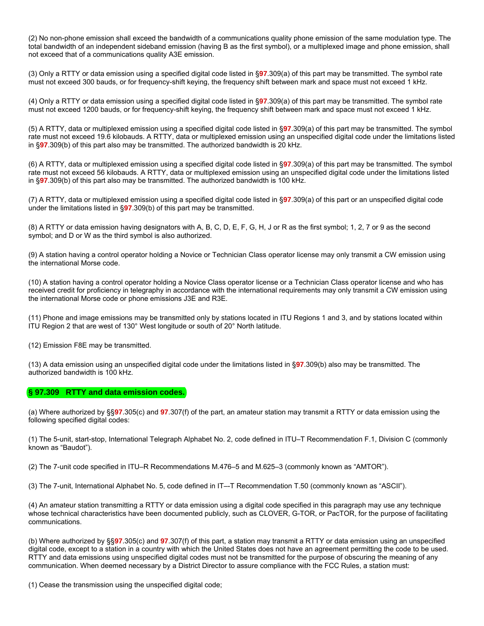(2) No non-phone emission shall exceed the bandwidth of a communications quality phone emission of the same modulation type. The total bandwidth of an independent sideband emission (having B as the first symbol), or a multiplexed image and phone emission, shall not exceed that of a communications quality A3E emission.

(3) Only a RTTY or data emission using a specified digital code listed in §**97**.309(a) of this part may be transmitted. The symbol rate must not exceed 300 bauds, or for frequency-shift keying, the frequency shift between mark and space must not exceed 1 kHz.

(4) Only a RTTY or data emission using a specified digital code listed in §**97**.309(a) of this part may be transmitted. The symbol rate must not exceed 1200 bauds, or for frequency-shift keying, the frequency shift between mark and space must not exceed 1 kHz.

(5) A RTTY, data or multiplexed emission using a specified digital code listed in §**97**.309(a) of this part may be transmitted. The symbol rate must not exceed 19.6 kilobauds. A RTTY, data or multiplexed emission using an unspecified digital code under the limitations listed in §**97**.309(b) of this part also may be transmitted. The authorized bandwidth is 20 kHz.

(6) A RTTY, data or multiplexed emission using a specified digital code listed in §**97**.309(a) of this part may be transmitted. The symbol rate must not exceed 56 kilobauds. A RTTY, data or multiplexed emission using an unspecified digital code under the limitations listed in §**97**.309(b) of this part also may be transmitted. The authorized bandwidth is 100 kHz.

(7) A RTTY, data or multiplexed emission using a specified digital code listed in §**97**.309(a) of this part or an unspecified digital code under the limitations listed in §**97**.309(b) of this part may be transmitted.

(8) A RTTY or data emission having designators with A, B, C, D, E, F, G, H, J or R as the first symbol; 1, 2, 7 or 9 as the second symbol; and D or W as the third symbol is also authorized.

(9) A station having a control operator holding a Novice or Technician Class operator license may only transmit a CW emission using the international Morse code.

(10) A station having a control operator holding a Novice Class operator license or a Technician Class operator license and who has received credit for proficiency in telegraphy in accordance with the international requirements may only transmit a CW emission using the international Morse code or phone emissions J3E and R3E.

(11) Phone and image emissions may be transmitted only by stations located in ITU Regions 1 and 3, and by stations located within ITU Region 2 that are west of 130° West longitude or south of 20° North latitude.

(12) Emission F8E may be transmitted.

(13) A data emission using an unspecified digital code under the limitations listed in §**97**.309(b) also may be transmitted. The authorized bandwidth is 100 kHz.

### **§ 97.309 RTTY and data emission codes.**

(a) Where authorized by §§**97**.305(c) and **97**.307(f) of the part, an amateur station may transmit a RTTY or data emission using the following specified digital codes:

(1) The 5-unit, start-stop, International Telegraph Alphabet No. 2, code defined in ITU–T Recommendation F.1, Division C (commonly known as "Baudot").

(2) The 7-unit code specified in ITU–R Recommendations M.476–5 and M.625–3 (commonly known as "AMTOR").

(3) The 7-unit, International Alphabet No. 5, code defined in IT–-T Recommendation T.50 (commonly known as "ASCII").

(4) An amateur station transmitting a RTTY or data emission using a digital code specified in this paragraph may use any technique whose technical characteristics have been documented publicly, such as CLOVER, G-TOR, or PacTOR, for the purpose of facilitating communications.

(b) Where authorized by §§**97**.305(c) and **97**.307(f) of this part, a station may transmit a RTTY or data emission using an unspecified digital code, except to a station in a country with which the United States does not have an agreement permitting the code to be used. RTTY and data emissions using unspecified digital codes must not be transmitted for the purpose of obscuring the meaning of any communication. When deemed necessary by a District Director to assure compliance with the FCC Rules, a station must:

(1) Cease the transmission using the unspecified digital code;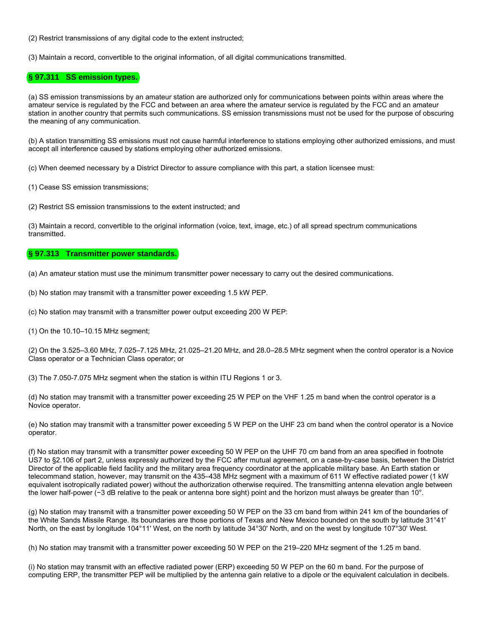(2) Restrict transmissions of any digital code to the extent instructed;

(3) Maintain a record, convertible to the original information, of all digital communications transmitted.

### **§ 97.311 SS emission types.**

(a) SS emission transmissions by an amateur station are authorized only for communications between points within areas where the amateur service is regulated by the FCC and between an area where the amateur service is regulated by the FCC and an amateur station in another country that permits such communications. SS emission transmissions must not be used for the purpose of obscuring the meaning of any communication.

(b) A station transmitting SS emissions must not cause harmful interference to stations employing other authorized emissions, and must accept all interference caused by stations employing other authorized emissions.

(c) When deemed necessary by a District Director to assure compliance with this part, a station licensee must:

(1) Cease SS emission transmissions;

(2) Restrict SS emission transmissions to the extent instructed; and

(3) Maintain a record, convertible to the original information (voice, text, image, etc.) of all spread spectrum communications transmitted.

#### **§ 97.313 Transmitter power standards.**

(a) An amateur station must use the minimum transmitter power necessary to carry out the desired communications.

(b) No station may transmit with a transmitter power exceeding 1.5 kW PEP.

(c) No station may transmit with a transmitter power output exceeding 200 W PEP:

(1) On the 10.10–10.15 MHz segment;

(2) On the 3.525–3.60 MHz, 7.025–7.125 MHz, 21.025–21.20 MHz, and 28.0–28.5 MHz segment when the control operator is a Novice Class operator or a Technician Class operator; or

(3) The 7.050-7.075 MHz segment when the station is within ITU Regions 1 or 3.

(d) No station may transmit with a transmitter power exceeding 25 W PEP on the VHF 1.25 m band when the control operator is a Novice operator.

(e) No station may transmit with a transmitter power exceeding 5 W PEP on the UHF 23 cm band when the control operator is a Novice operator.

(f) No station may transmit with a transmitter power exceeding 50 W PEP on the UHF 70 cm band from an area specified in footnote US7 to §2.106 of part 2, unless expressly authorized by the FCC after mutual agreement, on a case-by-case basis, between the District Director of the applicable field facility and the military area frequency coordinator at the applicable military base. An Earth station or telecommand station, however, may transmit on the 435–438 MHz segment with a maximum of 611 W effective radiated power (1 kW equivalent isotropically radiated power) without the authorization otherwise required. The transmitting antenna elevation angle between the lower half-power (−3 dB relative to the peak or antenna bore sight) point and the horizon must always be greater than 10°.

(g) No station may transmit with a transmitter power exceeding 50 W PEP on the 33 cm band from within 241 km of the boundaries of the White Sands Missile Range. Its boundaries are those portions of Texas and New Mexico bounded on the south by latitude 31°41' North, on the east by longitude 104°11' West, on the north by latitude 34°30' North, and on the west by longitude 107°30' West.

(h) No station may transmit with a transmitter power exceeding 50 W PEP on the 219–220 MHz segment of the 1.25 m band.

(i) No station may transmit with an effective radiated power (ERP) exceeding 50 W PEP on the 60 m band. For the purpose of computing ERP, the transmitter PEP will be multiplied by the antenna gain relative to a dipole or the equivalent calculation in decibels.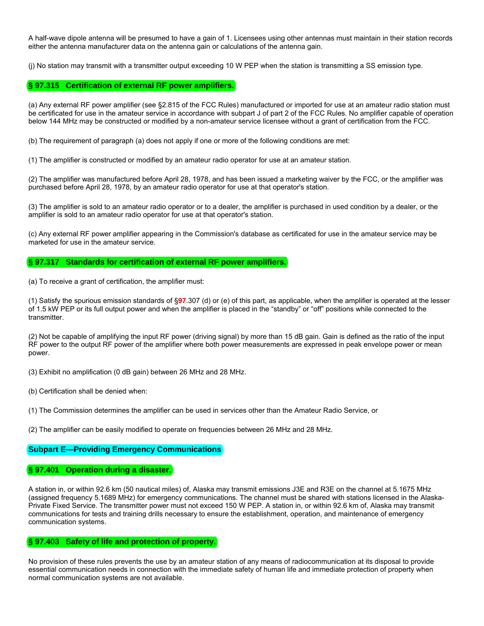A half-wave dipole antenna will be presumed to have a gain of 1. Licensees using other antennas must maintain in their station records either the antenna manufacturer data on the antenna gain or calculations of the antenna gain.

(j) No station may transmit with a transmitter output exceeding 10 W PEP when the station is transmitting a SS emission type.

### **§ 97.315 Certification of external RF power amplifiers.**

(a) Any external RF power amplifier (see §2.815 of the FCC Rules) manufactured or imported for use at an amateur radio station must be certificated for use in the amateur service in accordance with subpart J of part 2 of the FCC Rules. No amplifier capable of operation below 144 MHz may be constructed or modified by a non-amateur service licensee without a grant of certification from the FCC.

(b) The requirement of paragraph (a) does not apply if one or more of the following conditions are met:

(1) The amplifier is constructed or modified by an amateur radio operator for use at an amateur station.

(2) The amplifier was manufactured before April 28, 1978, and has been issued a marketing waiver by the FCC, or the amplifier was purchased before April 28, 1978, by an amateur radio operator for use at that operator's station.

(3) The amplifier is sold to an amateur radio operator or to a dealer, the amplifier is purchased in used condition by a dealer, or the amplifier is sold to an amateur radio operator for use at that operator's station.

(c) Any external RF power amplifier appearing in the Commission's database as certificated for use in the amateur service may be marketed for use in the amateur service.

### **§ 97.317 Standards for certification of external RF power amplifiers.**

(a) To receive a grant of certification, the amplifier must:

(1) Satisfy the spurious emission standards of §**97**.307 (d) or (e) of this part, as applicable, when the amplifier is operated at the lesser of 1.5 kW PEP or its full output power and when the amplifier is placed in the "standby" or "off" positions while connected to the transmitter.

(2) Not be capable of amplifying the input RF power (driving signal) by more than 15 dB gain. Gain is defined as the ratio of the input RF power to the output RF power of the amplifier where both power measurements are expressed in peak envelope power or mean power.

(3) Exhibit no amplification (0 dB gain) between 26 MHz and 28 MHz.

(b) Certification shall be denied when:

(1) The Commission determines the amplifier can be used in services other than the Amateur Radio Service, or

(2) The amplifier can be easily modified to operate on frequencies between 26 MHz and 28 MHz.

#### **Subpart E—Providing Emergency Communications**

#### **§ 97.401 Operation during a disaster.**

A station in, or within 92.6 km (50 nautical miles) of, Alaska may transmit emissions J3E and R3E on the channel at 5.1675 MHz (assigned frequency 5.1689 MHz) for emergency communications. The channel must be shared with stations licensed in the Alaska-Private Fixed Service. The transmitter power must not exceed 150 W PEP. A station in, or within 92.6 km of, Alaska may transmit communications for tests and training drills necessary to ensure the establishment, operation, and maintenance of emergency communication systems.

### **§ 97.403 Safety of life and protection of property.**

No provision of these rules prevents the use by an amateur station of any means of radiocommunication at its disposal to provide essential communication needs in connection with the immediate safety of human life and immediate protection of property when normal communication systems are not available.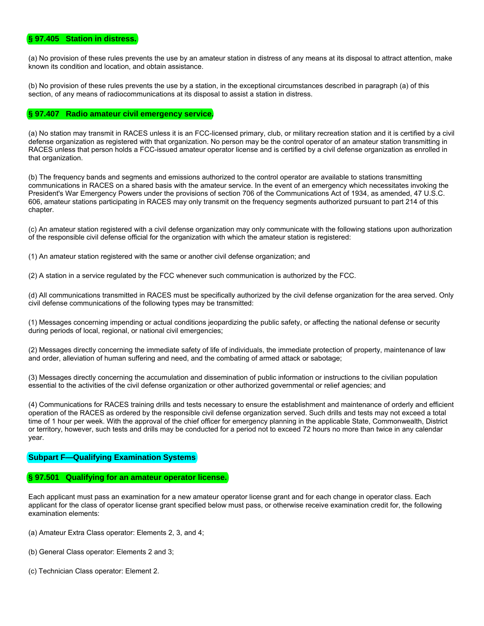### **§ 97.405 Station in distress.**

(a) No provision of these rules prevents the use by an amateur station in distress of any means at its disposal to attract attention, make known its condition and location, and obtain assistance.

(b) No provision of these rules prevents the use by a station, in the exceptional circumstances described in paragraph (a) of this section, of any means of radiocommunications at its disposal to assist a station in distress.

#### **§ 97.407 Radio amateur civil emergency service.**

(a) No station may transmit in RACES unless it is an FCC-licensed primary, club, or military recreation station and it is certified by a civil defense organization as registered with that organization. No person may be the control operator of an amateur station transmitting in RACES unless that person holds a FCC-issued amateur operator license and is certified by a civil defense organization as enrolled in that organization.

(b) The frequency bands and segments and emissions authorized to the control operator are available to stations transmitting communications in RACES on a shared basis with the amateur service. In the event of an emergency which necessitates invoking the President's War Emergency Powers under the provisions of section 706 of the Communications Act of 1934, as amended, 47 U.S.C. 606, amateur stations participating in RACES may only transmit on the frequency segments authorized pursuant to part 214 of this chapter.

(c) An amateur station registered with a civil defense organization may only communicate with the following stations upon authorization of the responsible civil defense official for the organization with which the amateur station is registered:

(1) An amateur station registered with the same or another civil defense organization; and

(2) A station in a service regulated by the FCC whenever such communication is authorized by the FCC.

(d) All communications transmitted in RACES must be specifically authorized by the civil defense organization for the area served. Only civil defense communications of the following types may be transmitted:

(1) Messages concerning impending or actual conditions jeopardizing the public safety, or affecting the national defense or security during periods of local, regional, or national civil emergencies;

(2) Messages directly concerning the immediate safety of life of individuals, the immediate protection of property, maintenance of law and order, alleviation of human suffering and need, and the combating of armed attack or sabotage;

(3) Messages directly concerning the accumulation and dissemination of public information or instructions to the civilian population essential to the activities of the civil defense organization or other authorized governmental or relief agencies; and

(4) Communications for RACES training drills and tests necessary to ensure the establishment and maintenance of orderly and efficient operation of the RACES as ordered by the responsible civil defense organization served. Such drills and tests may not exceed a total time of 1 hour per week. With the approval of the chief officer for emergency planning in the applicable State, Commonwealth, District or territory, however, such tests and drills may be conducted for a period not to exceed 72 hours no more than twice in any calendar year.

### **Subpart F—Qualifying Examination Systems**

### **§ 97.501 Qualifying for an amateur operator license.**

Each applicant must pass an examination for a new amateur operator license grant and for each change in operator class. Each applicant for the class of operator license grant specified below must pass, or otherwise receive examination credit for, the following examination elements:

(a) Amateur Extra Class operator: Elements 2, 3, and 4;

- (b) General Class operator: Elements 2 and 3;
- (c) Technician Class operator: Element 2.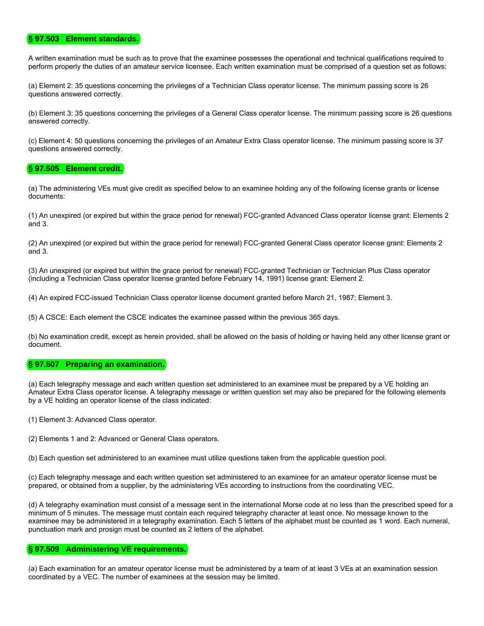### **§ 97.503 Element standards.**

A written examination must be such as to prove that the examinee possesses the operational and technical qualifications required to perform properly the duties of an amateur service licensee. Each written examination must be comprised of a question set as follows:

(a) Element 2: 35 questions concerning the privileges of a Technician Class operator license. The minimum passing score is 26 questions answered correctly.

(b) Element 3: 35 questions concerning the privileges of a General Class operator license. The minimum passing score is 26 questions answered correctly.

(c) Element 4: 50 questions concerning the privileges of an Amateur Extra Class operator license. The minimum passing score is 37 questions answered correctly.

### **§ 97.505 Element credit.**

(a) The administering VEs must give credit as specified below to an examinee holding any of the following license grants or license documents:

(1) An unexpired (or expired but within the grace period for renewal) FCC-granted Advanced Class operator license grant: Elements 2 and 3.

(2) An unexpired (or expired but within the grace period for renewal) FCC-granted General Class operator license grant: Elements 2 and 3.

(3) An unexpired (or expired but within the grace period for renewal) FCC-granted Technician or Technician Plus Class operator (including a Technician Class operator license granted before February 14, 1991) license grant: Element 2.

(4) An expired FCC-issued Technician Class operator license document granted before March 21, 1987; Element 3.

(5) A CSCE: Each element the CSCE indicates the examinee passed within the previous 365 days.

(b) No examination credit, except as herein provided, shall be allowed on the basis of holding or having held any other license grant or document.

### **§ 97.507 Preparing an examination.**

(a) Each telegraphy message and each written question set administered to an examinee must be prepared by a VE holding an Amateur Extra Class operator license. A telegraphy message or written question set may also be prepared for the following elements by a VE holding an operator license of the class indicated:

(1) Element 3: Advanced Class operator.

(2) Elements 1 and 2: Advanced or General Class operators.

(b) Each question set administered to an examinee must utilize questions taken from the applicable question pool.

(c) Each telegraphy message and each written question set administered to an examinee for an amateur operator license must be prepared, or obtained from a supplier, by the administering VEs according to instructions from the coordinating VEC.

(d) A telegraphy examination must consist of a message sent in the international Morse code at no less than the prescribed speed for a minimum of 5 minutes. The message must contain each required telegraphy character at least once. No message known to the examinee may be administered in a telegraphy examination. Each 5 letters of the alphabet must be counted as 1 word. Each numeral, punctuation mark and prosign must be counted as 2 letters of the alphabet.

### **§ 97.509 Administering VE requirements.**

(a) Each examination for an amateur operator license must be administered by a team of at least 3 VEs at an examination session coordinated by a VEC. The number of examinees at the session may be limited.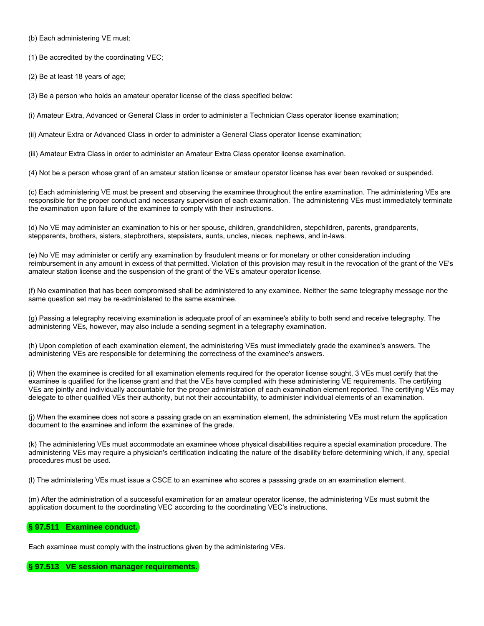(b) Each administering VE must:

(1) Be accredited by the coordinating VEC;

(2) Be at least 18 years of age;

(3) Be a person who holds an amateur operator license of the class specified below:

(i) Amateur Extra, Advanced or General Class in order to administer a Technician Class operator license examination;

(ii) Amateur Extra or Advanced Class in order to administer a General Class operator license examination;

(iii) Amateur Extra Class in order to administer an Amateur Extra Class operator license examination.

(4) Not be a person whose grant of an amateur station license or amateur operator license has ever been revoked or suspended.

(c) Each administering VE must be present and observing the examinee throughout the entire examination. The administering VEs are responsible for the proper conduct and necessary supervision of each examination. The administering VEs must immediately terminate the examination upon failure of the examinee to comply with their instructions.

(d) No VE may administer an examination to his or her spouse, children, grandchildren, stepchildren, parents, grandparents, stepparents, brothers, sisters, stepbrothers, stepsisters, aunts, uncles, nieces, nephews, and in-laws.

(e) No VE may administer or certify any examination by fraudulent means or for monetary or other consideration including reimbursement in any amount in excess of that permitted. Violation of this provision may result in the revocation of the grant of the VE's amateur station license and the suspension of the grant of the VE's amateur operator license.

(f) No examination that has been compromised shall be administered to any examinee. Neither the same telegraphy message nor the same question set may be re-administered to the same examinee.

(g) Passing a telegraphy receiving examination is adequate proof of an examinee's ability to both send and receive telegraphy. The administering VEs, however, may also include a sending segment in a telegraphy examination.

(h) Upon completion of each examination element, the administering VEs must immediately grade the examinee's answers. The administering VEs are responsible for determining the correctness of the examinee's answers.

(i) When the examinee is credited for all examination elements required for the operator license sought, 3 VEs must certify that the examinee is qualified for the license grant and that the VEs have complied with these administering VE requirements. The certifying VEs are jointly and individually accountable for the proper administration of each examination element reported. The certifying VEs may delegate to other qualified VEs their authority, but not their accountability, to administer individual elements of an examination.

(j) When the examinee does not score a passing grade on an examination element, the administering VEs must return the application document to the examinee and inform the examinee of the grade.

(k) The administering VEs must accommodate an examinee whose physical disabilities require a special examination procedure. The administering VEs may require a physician's certification indicating the nature of the disability before determining which, if any, special procedures must be used.

(l) The administering VEs must issue a CSCE to an examinee who scores a passsing grade on an examination element.

(m) After the administration of a successful examination for an amateur operator license, the administering VEs must submit the application document to the coordinating VEC according to the coordinating VEC's instructions.

### **§ 97.511 Examinee conduct.**

Each examinee must comply with the instructions given by the administering VEs.

### **§ 97.513 VE session manager requirements.**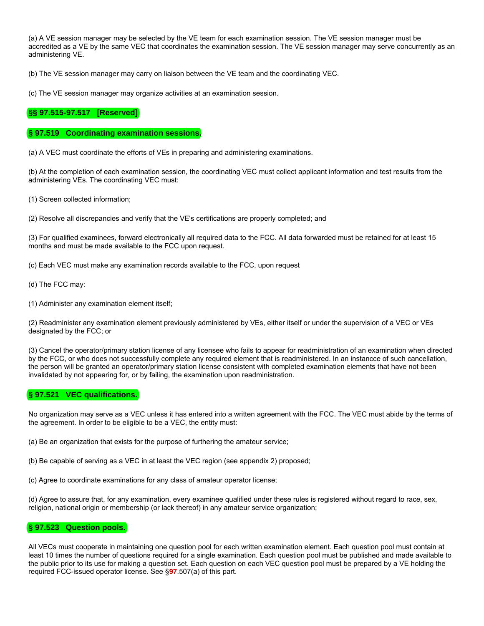(a) A VE session manager may be selected by the VE team for each examination session. The VE session manager must be accredited as a VE by the same VEC that coordinates the examination session. The VE session manager may serve concurrently as an administering VE.

(b) The VE session manager may carry on liaison between the VE team and the coordinating VEC.

(c) The VE session manager may organize activities at an examination session.

# **§§ 97.515-97.517 [Reserved]**

### **§ 97.519 Coordinating examination sessions.**

(a) A VEC must coordinate the efforts of VEs in preparing and administering examinations.

(b) At the completion of each examination session, the coordinating VEC must collect applicant information and test results from the administering VEs. The coordinating VEC must:

(1) Screen collected information;

(2) Resolve all discrepancies and verify that the VE's certifications are properly completed; and

(3) For qualified examinees, forward electronically all required data to the FCC. All data forwarded must be retained for at least 15 months and must be made available to the FCC upon request.

(c) Each VEC must make any examination records available to the FCC, upon request

- (d) The FCC may:
- (1) Administer any examination element itself;

(2) Readminister any examination element previously administered by VEs, either itself or under the supervision of a VEC or VEs designated by the FCC; or

(3) Cancel the operator/primary station license of any licensee who fails to appear for readministration of an examination when directed by the FCC, or who does not successfully complete any required element that is readministered. In an instancce of such cancellation, the person will be granted an operator/primary station license consistent with completed examination elements that have not been invalidated by not appearing for, or by failing, the examination upon readministration.

# **§ 97.521 VEC qualifications.**

No organization may serve as a VEC unless it has entered into a written agreement with the FCC. The VEC must abide by the terms of the agreement. In order to be eligible to be a VEC, the entity must:

(a) Be an organization that exists for the purpose of furthering the amateur service;

- (b) Be capable of serving as a VEC in at least the VEC region (see appendix 2) proposed;
- (c) Agree to coordinate examinations for any class of amateur operator license;

(d) Agree to assure that, for any examination, every examinee qualified under these rules is registered without regard to race, sex, religion, national origin or membership (or lack thereof) in any amateur service organization;

### **§ 97.523 Question pools.**

All VECs must cooperate in maintaining one question pool for each written examination element. Each question pool must contain at least 10 times the number of questions required for a single examination. Each question pool must be published and made available to the public prior to its use for making a question set. Each question on each VEC question pool must be prepared by a VE holding the required FCC-issued operator license. See §**97**.507(a) of this part.